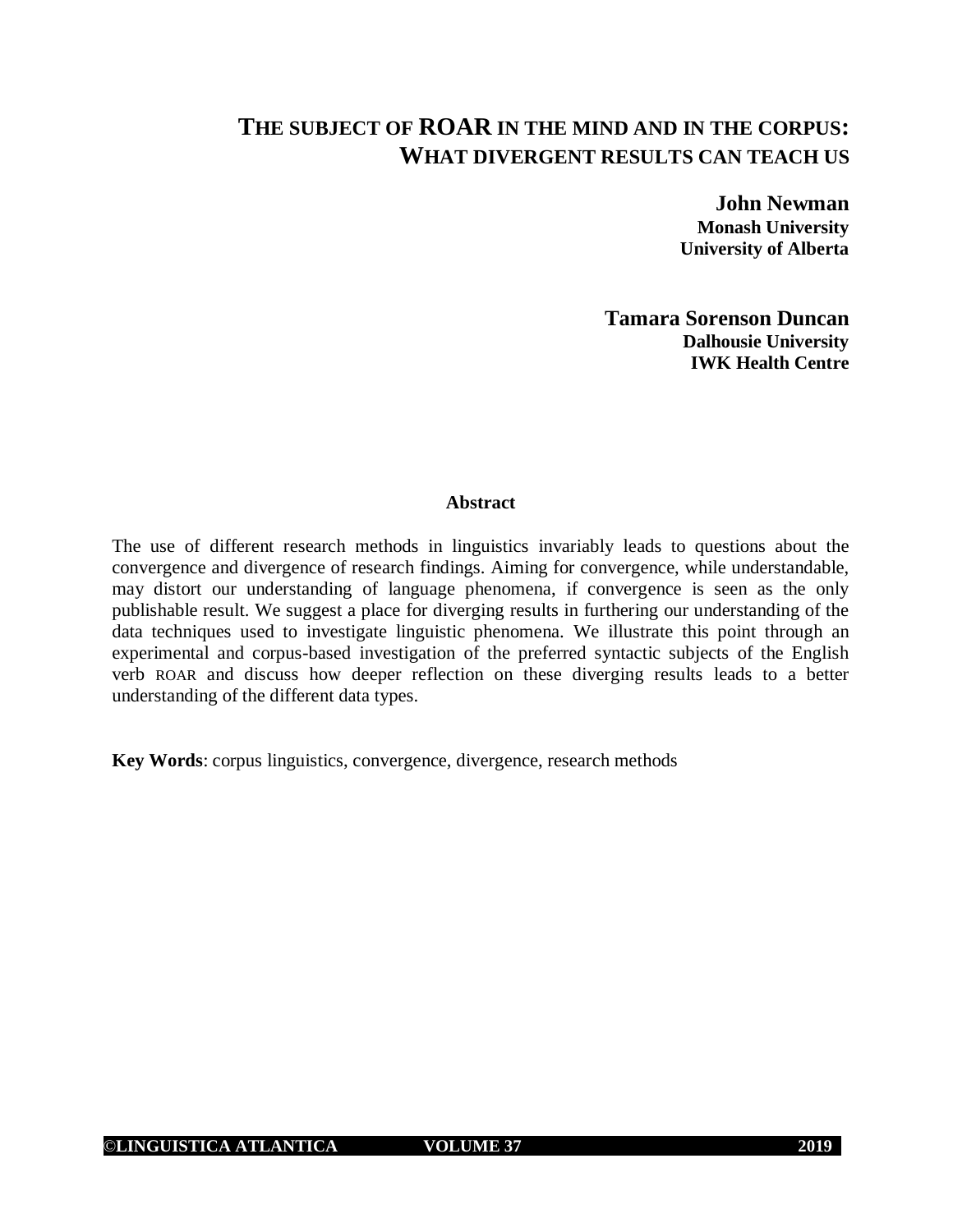# **THE SUBJECT OF ROAR IN THE MIND AND IN THE CORPUS: WHAT DIVERGENT RESULTS CAN TEACH US**

**John Newman Monash University University of Alberta**

**Tamara Sorenson Duncan Dalhousie University IWK Health Centre**

## **Abstract**

The use of different research methods in linguistics invariably leads to questions about the convergence and divergence of research findings. Aiming for convergence, while understandable, may distort our understanding of language phenomena, if convergence is seen as the only publishable result. We suggest a place for diverging results in furthering our understanding of the data techniques used to investigate linguistic phenomena. We illustrate this point through an experimental and corpus-based investigation of the preferred syntactic subjects of the English verb ROAR and discuss how deeper reflection on these diverging results leads to a better understanding of the different data types.

**Key Words**: corpus linguistics, convergence, divergence, research methods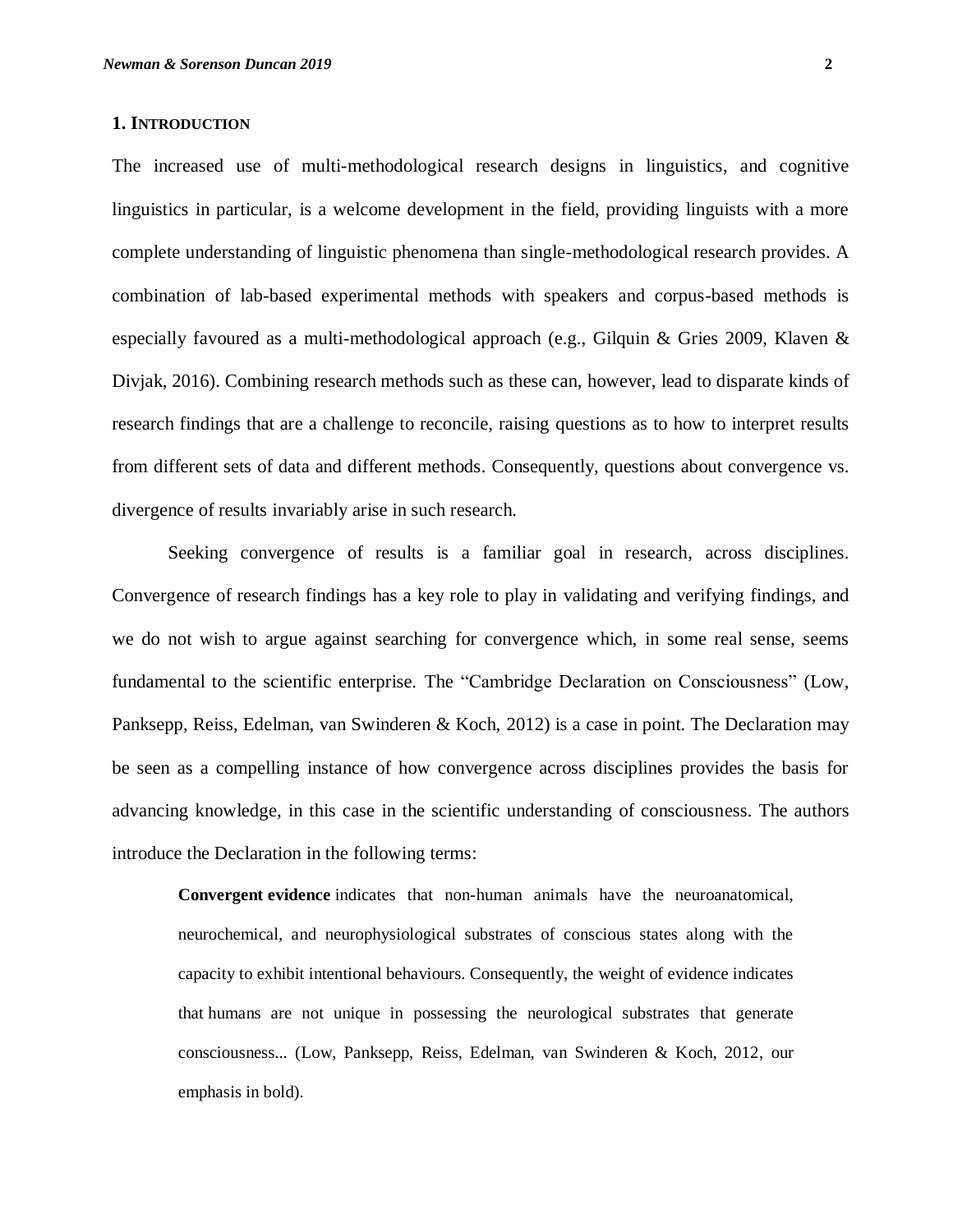## **1. INTRODUCTION**

The increased use of multi-methodological research designs in linguistics, and cognitive linguistics in particular, is a welcome development in the field, providing linguists with a more complete understanding of linguistic phenomena than single-methodological research provides. A combination of lab-based experimental methods with speakers and corpus-based methods is especially favoured as a multi-methodological approach (e.g., Gilquin & Gries 2009, Klaven & Divjak, 2016). Combining research methods such as these can, however, lead to disparate kinds of research findings that are a challenge to reconcile, raising questions as to how to interpret results from different sets of data and different methods. Consequently, questions about convergence vs. divergence of results invariably arise in such research.

Seeking convergence of results is a familiar goal in research, across disciplines. Convergence of research findings has a key role to play in validating and verifying findings, and we do not wish to argue against searching for convergence which, in some real sense, seems fundamental to the scientific enterprise. The "Cambridge Declaration on Consciousness" (Low, Panksepp, Reiss, Edelman, van Swinderen & Koch, 2012) is a case in point. The Declaration may be seen as a compelling instance of how convergence across disciplines provides the basis for advancing knowledge, in this case in the scientific understanding of consciousness. The authors introduce the Declaration in the following terms:

**Convergent evidence** indicates that non-human animals have the neuroanatomical, neurochemical, and neurophysiological substrates of conscious states along with the capacity to exhibit intentional behaviours. Consequently, the weight of evidence indicates that humans are not unique in possessing the neurological substrates that generate consciousness... (Low, Panksepp, Reiss, Edelman, van Swinderen & Koch, 2012, our emphasis in bold).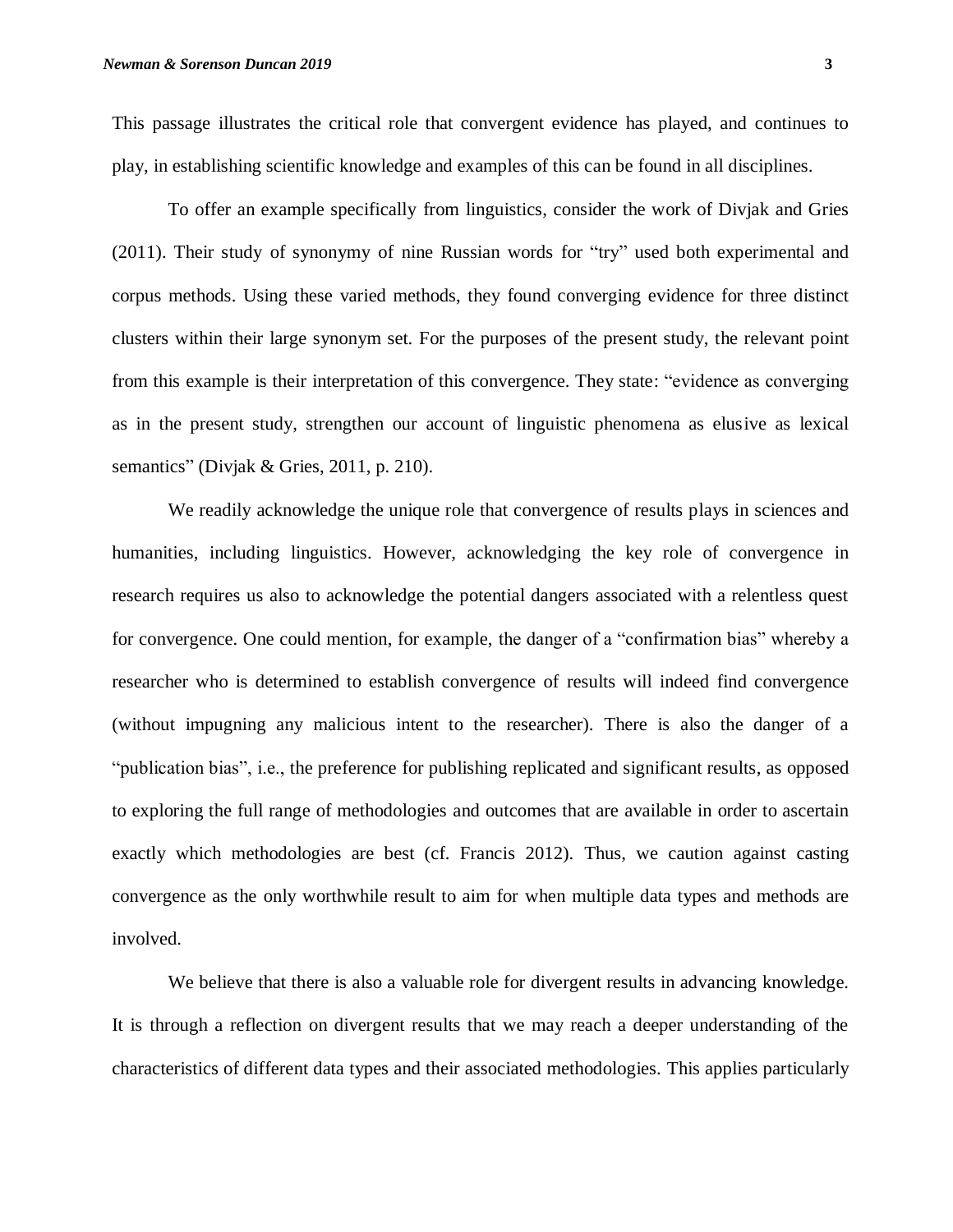This passage illustrates the critical role that convergent evidence has played, and continues to play, in establishing scientific knowledge and examples of this can be found in all disciplines.

To offer an example specifically from linguistics, consider the work of Divjak and Gries (2011). Their study of synonymy of nine Russian words for "try" used both experimental and corpus methods. Using these varied methods, they found converging evidence for three distinct clusters within their large synonym set. For the purposes of the present study, the relevant point from this example is their interpretation of this convergence. They state: "evidence as converging as in the present study, strengthen our account of linguistic phenomena as elusive as lexical semantics" (Divjak & Gries, 2011, p. 210).

We readily acknowledge the unique role that convergence of results plays in sciences and humanities, including linguistics. However, acknowledging the key role of convergence in research requires us also to acknowledge the potential dangers associated with a relentless quest for convergence. One could mention, for example, the danger of a "confirmation bias" whereby a researcher who is determined to establish convergence of results will indeed find convergence (without impugning any malicious intent to the researcher). There is also the danger of a "publication bias", i.e., the preference for publishing replicated and significant results, as opposed to exploring the full range of methodologies and outcomes that are available in order to ascertain exactly which methodologies are best (cf. Francis 2012). Thus, we caution against casting convergence as the only worthwhile result to aim for when multiple data types and methods are involved.

We believe that there is also a valuable role for divergent results in advancing knowledge. It is through a reflection on divergent results that we may reach a deeper understanding of the characteristics of different data types and their associated methodologies. This applies particularly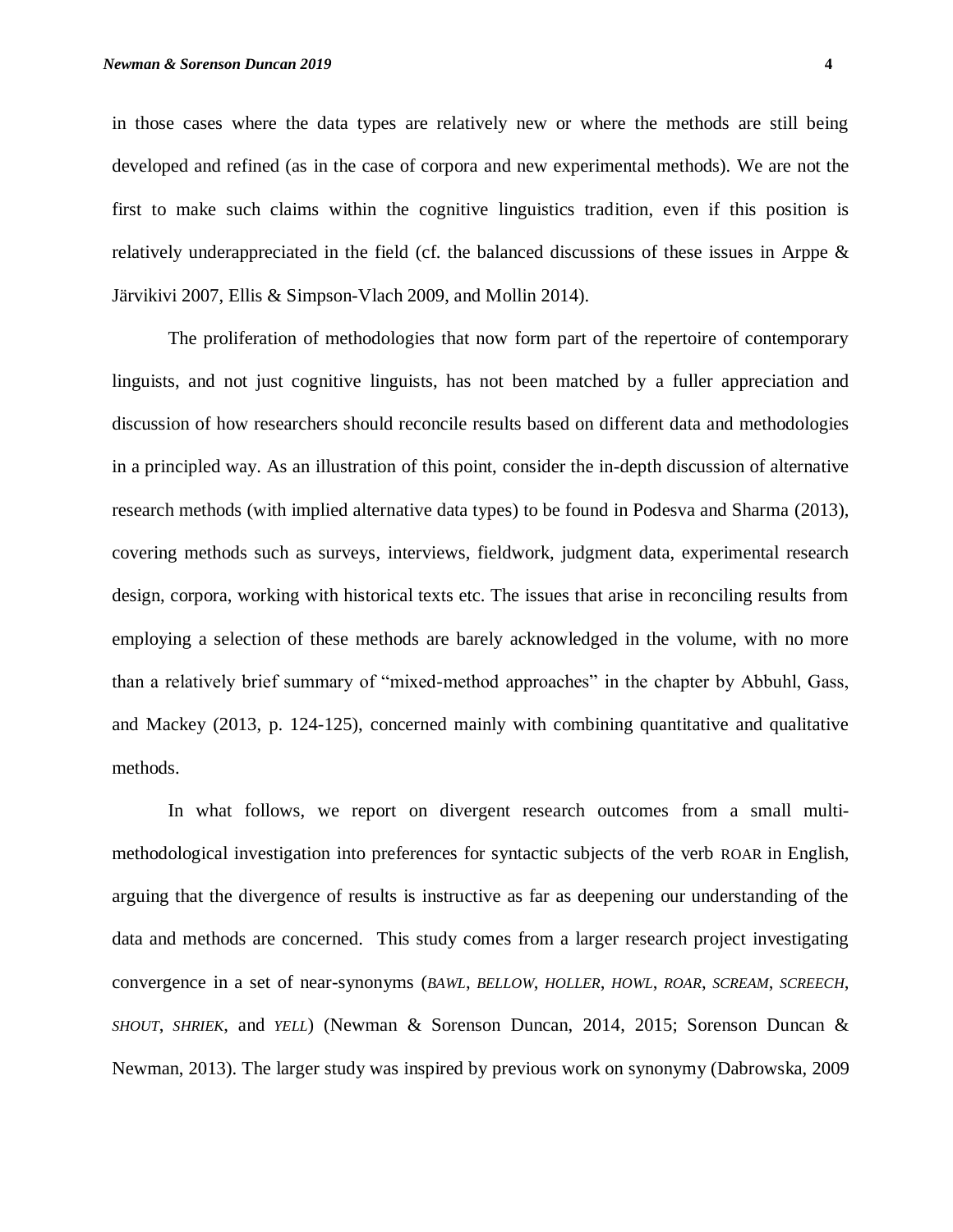in those cases where the data types are relatively new or where the methods are still being developed and refined (as in the case of corpora and new experimental methods). We are not the first to make such claims within the cognitive linguistics tradition, even if this position is relatively underappreciated in the field (cf. the balanced discussions of these issues in Arppe & Järvikivi 2007, Ellis & Simpson-Vlach 2009, and Mollin 2014).

The proliferation of methodologies that now form part of the repertoire of contemporary linguists, and not just cognitive linguists, has not been matched by a fuller appreciation and discussion of how researchers should reconcile results based on different data and methodologies in a principled way. As an illustration of this point, consider the in-depth discussion of alternative research methods (with implied alternative data types) to be found in Podesva and Sharma (2013), covering methods such as surveys, interviews, fieldwork, judgment data, experimental research design, corpora, working with historical texts etc. The issues that arise in reconciling results from employing a selection of these methods are barely acknowledged in the volume, with no more than a relatively brief summary of "mixed-method approaches" in the chapter by Abbuhl, Gass, and Mackey (2013, p. 124-125), concerned mainly with combining quantitative and qualitative methods.

In what follows, we report on divergent research outcomes from a small multimethodological investigation into preferences for syntactic subjects of the verb ROAR in English, arguing that the divergence of results is instructive as far as deepening our understanding of the data and methods are concerned. This study comes from a larger research project investigating convergence in a set of near-synonyms (*BAWL*, *BELLOW*, *HOLLER*, *HOWL*, *ROAR*, *SCREAM*, *SCREECH*, *SHOUT*, *SHRIEK*, and *YELL*) (Newman & Sorenson Duncan, 2014, 2015; Sorenson Duncan & Newman, 2013). The larger study was inspired by previous work on synonymy (Dabrowska, 2009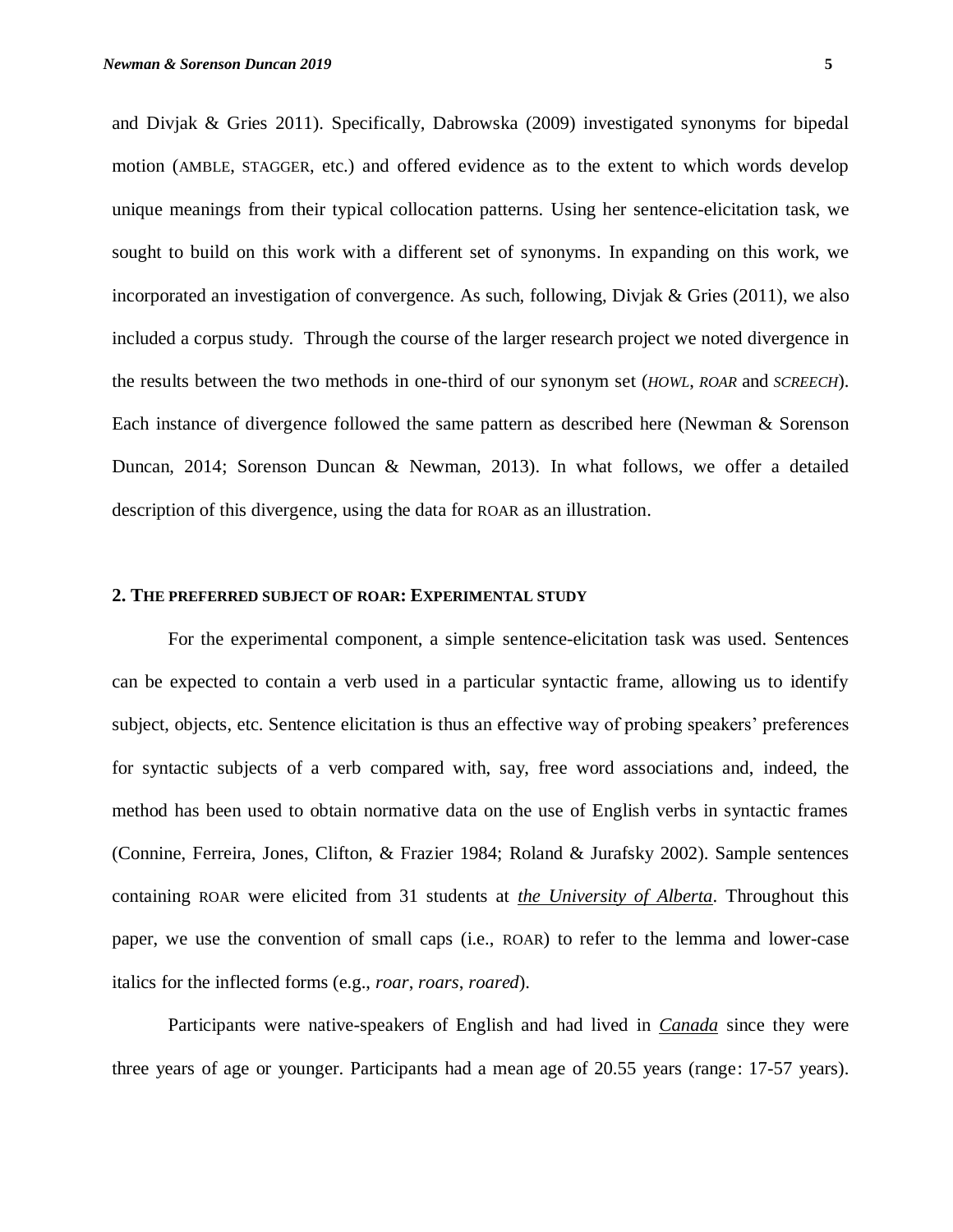and Divjak & Gries 2011). Specifically, Dabrowska (2009) investigated synonyms for bipedal motion (AMBLE, STAGGER, etc.) and offered evidence as to the extent to which words develop unique meanings from their typical collocation patterns. Using her sentence-elicitation task, we sought to build on this work with a different set of synonyms. In expanding on this work, we incorporated an investigation of convergence. As such, following, Divjak & Gries (2011), we also included a corpus study. Through the course of the larger research project we noted divergence in the results between the two methods in one-third of our synonym set (*HOWL*, *ROAR* and *SCREECH*). Each instance of divergence followed the same pattern as described here (Newman & Sorenson Duncan, 2014; Sorenson Duncan & Newman, 2013). In what follows, we offer a detailed description of this divergence, using the data for ROAR as an illustration.

#### **2. THE PREFERRED SUBJECT OF ROAR: EXPERIMENTAL STUDY**

For the experimental component, a simple sentence-elicitation task was used. Sentences can be expected to contain a verb used in a particular syntactic frame, allowing us to identify subject, objects, etc. Sentence elicitation is thus an effective way of probing speakers' preferences for syntactic subjects of a verb compared with, say, free word associations and, indeed, the method has been used to obtain normative data on the use of English verbs in syntactic frames (Connine, Ferreira, Jones, Clifton, & Frazier 1984; Roland & Jurafsky 2002). Sample sentences containing ROAR were elicited from 31 students at *the University of Alberta*. Throughout this paper, we use the convention of small caps (i.e., ROAR) to refer to the lemma and lower-case italics for the inflected forms (e.g., *roar*, *roars*, *roared*).

Participants were native-speakers of English and had lived in *Canada* since they were three years of age or younger. Participants had a mean age of 20.55 years (range: 17-57 years).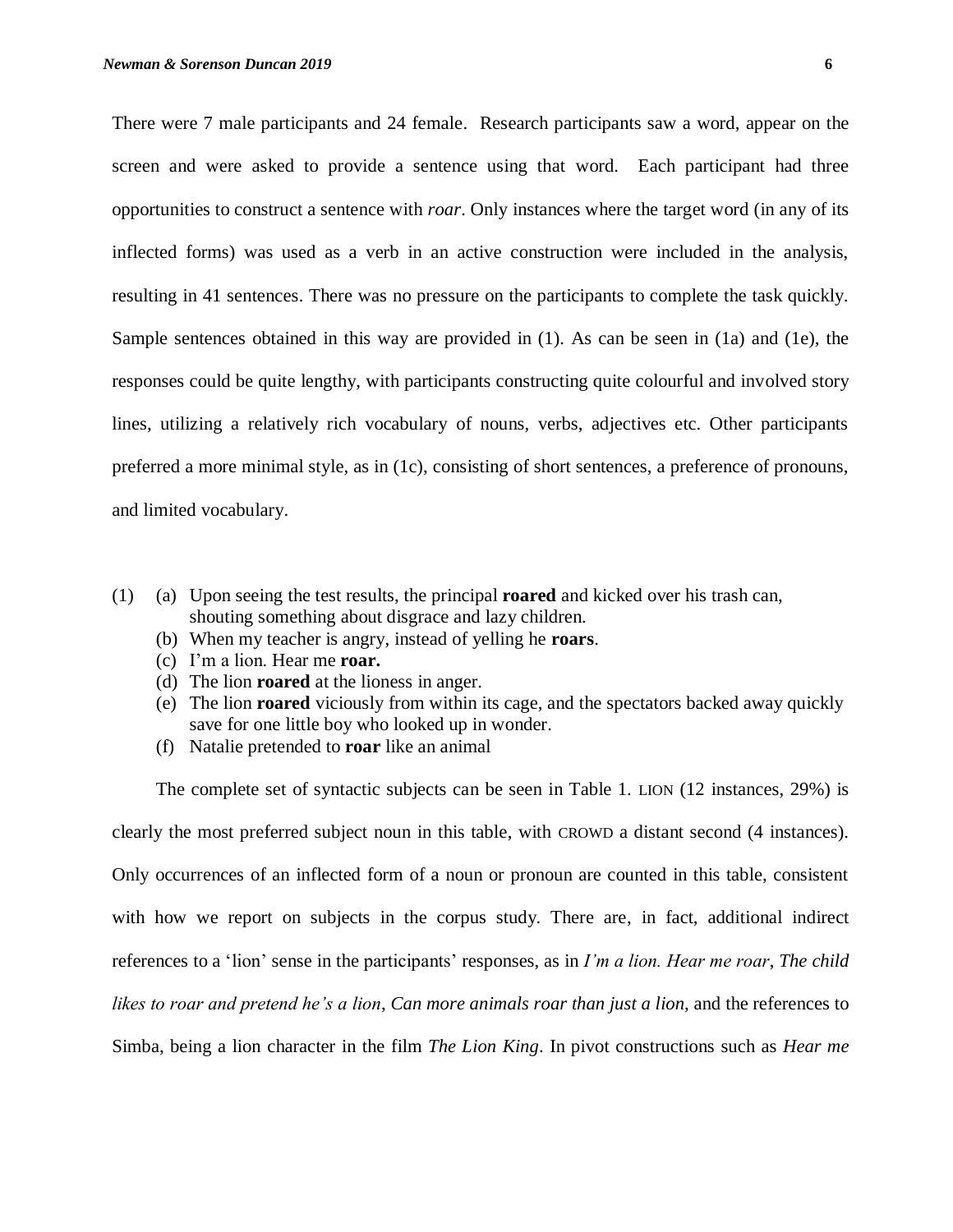There were 7 male participants and 24 female. Research participants saw a word, appear on the screen and were asked to provide a sentence using that word. Each participant had three opportunities to construct a sentence with *roar*. Only instances where the target word (in any of its inflected forms) was used as a verb in an active construction were included in the analysis, resulting in 41 sentences. There was no pressure on the participants to complete the task quickly. Sample sentences obtained in this way are provided in (1). As can be seen in (1a) and (1e), the responses could be quite lengthy, with participants constructing quite colourful and involved story lines, utilizing a relatively rich vocabulary of nouns, verbs, adjectives etc. Other participants preferred a more minimal style, as in (1c), consisting of short sentences, a preference of pronouns, and limited vocabulary.

- (1) (a) Upon seeing the test results, the principal **roared** and kicked over his trash can, shouting something about disgrace and lazy children.
	- (b) When my teacher is angry, instead of yelling he **roars**.
	- (c) I'm a lion. Hear me **roar.**
	- (d) The lion **roared** at the lioness in anger.
	- (e) The lion **roared** viciously from within its cage, and the spectators backed away quickly save for one little boy who looked up in wonder.
	- (f) Natalie pretended to **roar** like an animal

The complete set of syntactic subjects can be seen in Table 1. LION (12 instances, 29%) is clearly the most preferred subject noun in this table, with CROWD a distant second (4 instances). Only occurrences of an inflected form of a noun or pronoun are counted in this table, consistent with how we report on subjects in the corpus study. There are, in fact, additional indirect references to a 'lion' sense in the participants' responses, as in *I'm a lion. Hear me roar*, *The child likes to roar and pretend he's a lion*, *Can more animals roar than just a lion*, and the references to Simba, being a lion character in the film *The Lion King*. In pivot constructions such as *Hear me*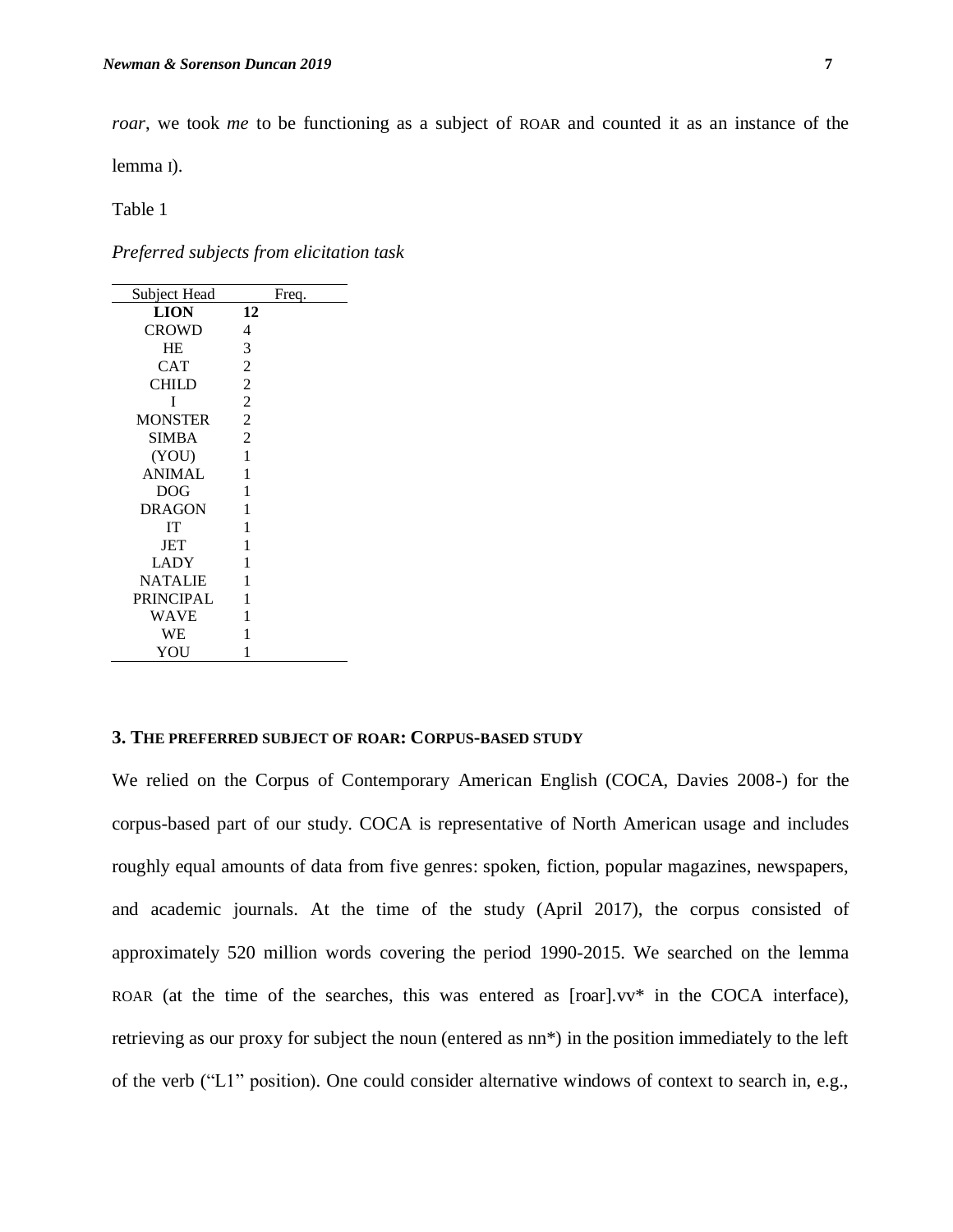*roar*, we took *me* to be functioning as a subject of ROAR and counted it as an instance of the

lemma I).

Table 1

*Preferred subjects from elicitation task*

| Subject Head     | Freq.          |
|------------------|----------------|
| <b>LION</b>      | 12             |
| <b>CROWD</b>     | 4              |
| <b>HE</b>        | 3              |
| <b>CAT</b>       | 2              |
| <b>CHILD</b>     | 2              |
| T                | $\overline{2}$ |
| <b>MONSTER</b>   | $\overline{c}$ |
| SIMBA            | $\overline{c}$ |
| (YOU)            | 1              |
| <b>ANIMAL</b>    | 1              |
| <b>DOG</b>       | 1              |
| <b>DRAGON</b>    | 1              |
| <b>IT</b>        | 1              |
| JET              | 1              |
| <b>LADY</b>      | 1              |
| <b>NATALIE</b>   | 1              |
| <b>PRINCIPAL</b> | 1              |
| WAVE             | 1              |
| WЕ               | 1              |
| YOU              | 1              |

## **3. THE PREFERRED SUBJECT OF ROAR: CORPUS-BASED STUDY**

We relied on the Corpus of Contemporary American English (COCA, Davies 2008-) for the corpus-based part of our study. COCA is representative of North American usage and includes roughly equal amounts of data from five genres: spoken, fiction, popular magazines, newspapers, and academic journals. At the time of the study (April 2017), the corpus consisted of approximately 520 million words covering the period 1990-2015. We searched on the lemma ROAR (at the time of the searches, this was entered as [roar].vv\* in the COCA interface), retrieving as our proxy for subject the noun (entered as nn\*) in the position immediately to the left of the verb ("L1" position). One could consider alternative windows of context to search in, e.g.,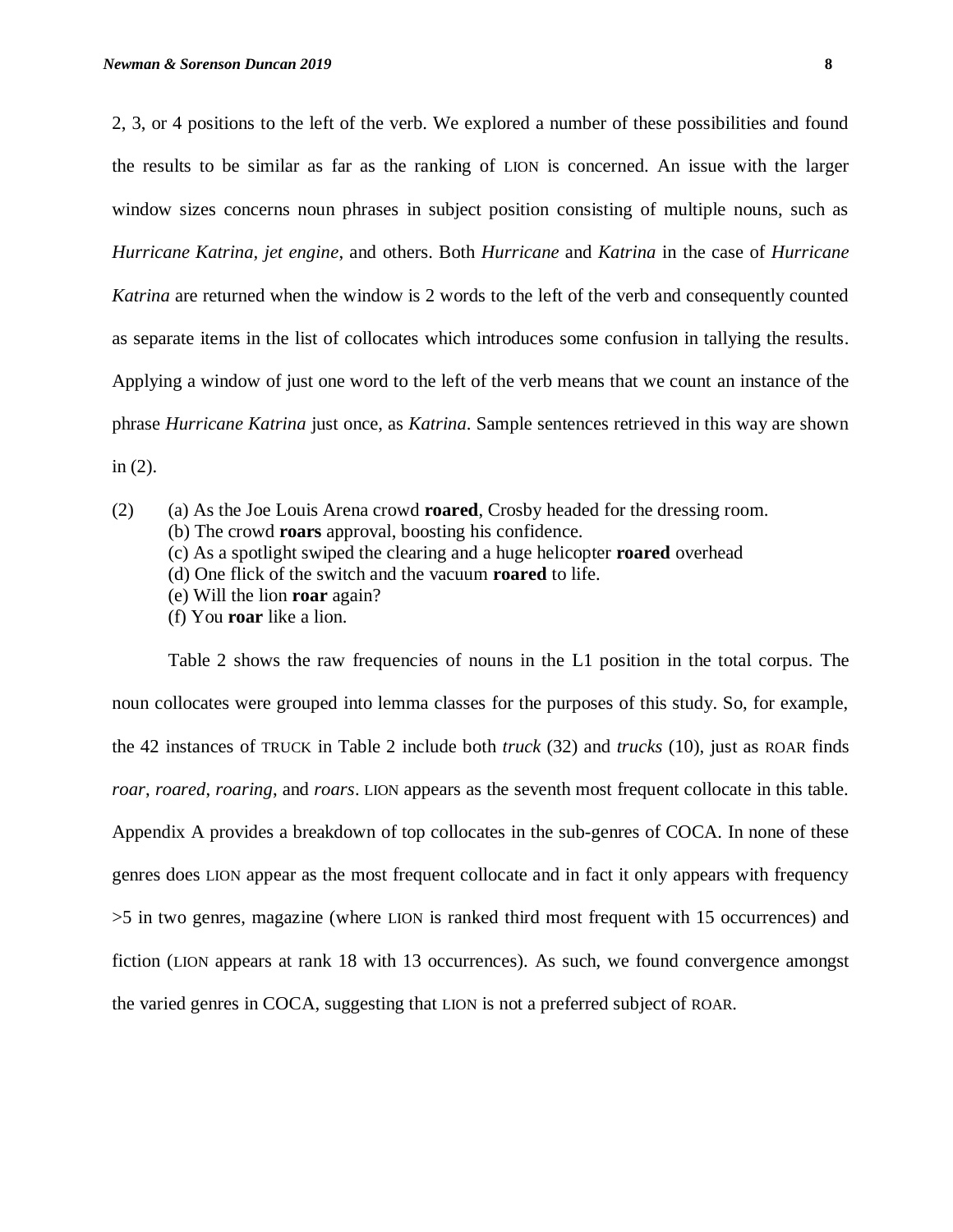2, 3, or 4 positions to the left of the verb. We explored a number of these possibilities and found the results to be similar as far as the ranking of LION is concerned. An issue with the larger window sizes concerns noun phrases in subject position consisting of multiple nouns, such as *Hurricane Katrina, jet engine*, and others. Both *Hurricane* and *Katrina* in the case of *Hurricane Katrina* are returned when the window is 2 words to the left of the verb and consequently counted as separate items in the list of collocates which introduces some confusion in tallying the results. Applying a window of just one word to the left of the verb means that we count an instance of the phrase *Hurricane Katrina* just once, as *Katrina*. Sample sentences retrieved in this way are shown in (2).

(2) (a) As the Joe Louis Arena crowd **roared**, Crosby headed for the dressing room.

(b) The crowd **roars** approval, boosting his confidence.

- (c) As a spotlight swiped the clearing and a huge helicopter **roared** overhead
- (d) One flick of the switch and the vacuum **roared** to life.
- (e) Will the lion **roar** again?
- (f) You **roar** like a lion.

Table 2 shows the raw frequencies of nouns in the L1 position in the total corpus. The noun collocates were grouped into lemma classes for the purposes of this study. So, for example, the 42 instances of TRUCK in Table 2 include both *truck* (32) and *trucks* (10), just as ROAR finds *roar*, *roared*, *roaring*, and *roars*. LION appears as the seventh most frequent collocate in this table. Appendix A provides a breakdown of top collocates in the sub-genres of COCA. In none of these genres does LION appear as the most frequent collocate and in fact it only appears with frequency >5 in two genres, magazine (where LION is ranked third most frequent with 15 occurrences) and fiction (LION appears at rank 18 with 13 occurrences). As such, we found convergence amongst the varied genres in COCA, suggesting that LION is not a preferred subject of ROAR.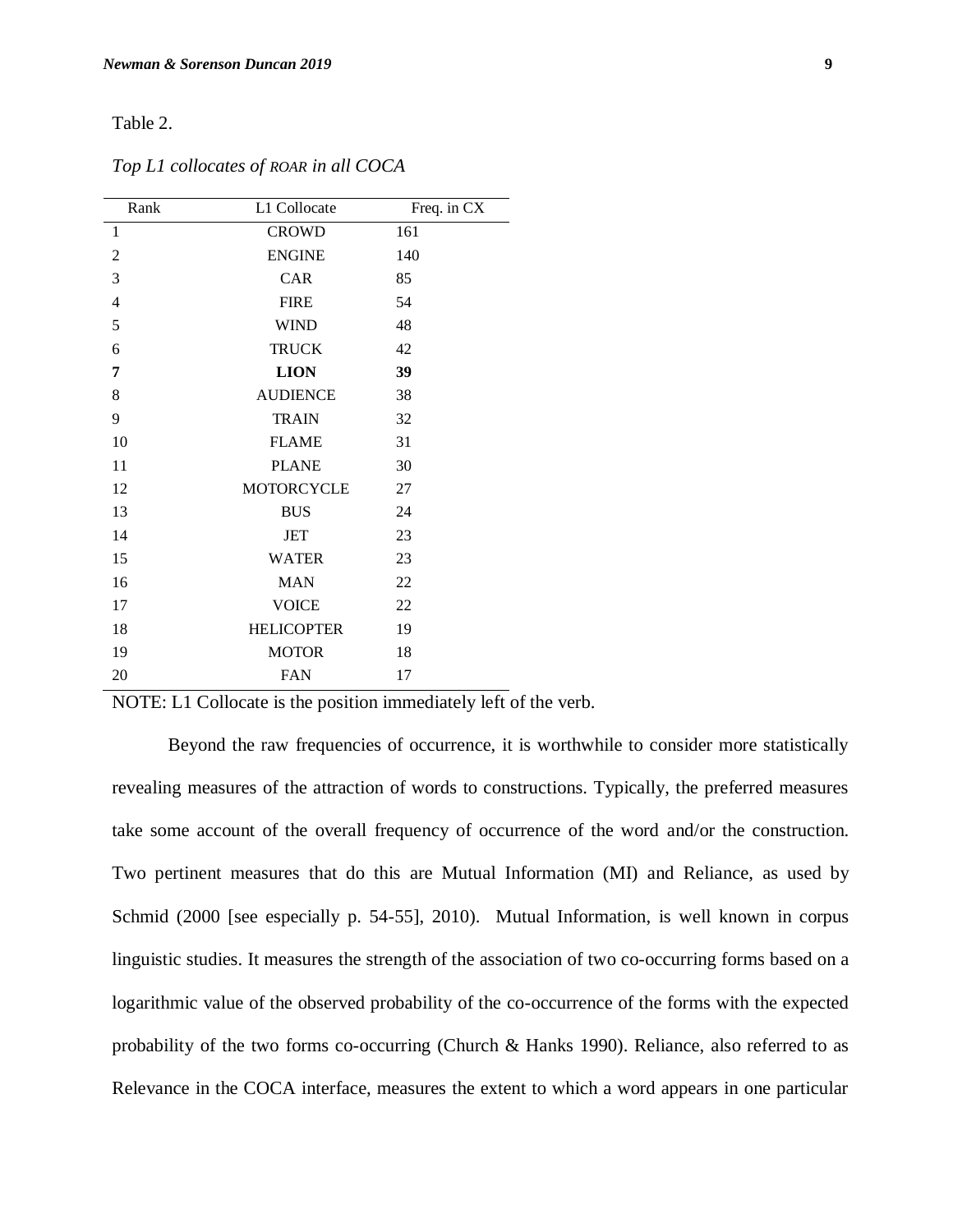### Table 2.

| Rank           | L1 Collocate      | Freq. in CX |
|----------------|-------------------|-------------|
| 1              | <b>CROWD</b>      | 161         |
| $\overline{2}$ | <b>ENGINE</b>     | 140         |
| 3              | CAR               | 85          |
| $\overline{4}$ | <b>FIRE</b>       | 54          |
| 5              | <b>WIND</b>       | 48          |
| 6              | <b>TRUCK</b>      | 42          |
| 7              | <b>LION</b>       | 39          |
| 8              | <b>AUDIENCE</b>   | 38          |
| 9              | <b>TRAIN</b>      | 32          |
| 10             | <b>FLAME</b>      | 31          |
| 11             | <b>PLANE</b>      | 30          |
| 12             | MOTORCYCLE        | 27          |
| 13             | <b>BUS</b>        | 24          |
| 14             | JET               | 23          |
| 15             | <b>WATER</b>      | 23          |
| 16             | <b>MAN</b>        | 22          |
| 17             | <b>VOICE</b>      | 22          |
| 18             | <b>HELICOPTER</b> | 19          |
| 19             | <b>MOTOR</b>      | 18          |
| 20             | <b>FAN</b>        | 17          |

*Top L1 collocates of ROAR in all COCA*

NOTE: L1 Collocate is the position immediately left of the verb.

Beyond the raw frequencies of occurrence, it is worthwhile to consider more statistically revealing measures of the attraction of words to constructions. Typically, the preferred measures take some account of the overall frequency of occurrence of the word and/or the construction. Two pertinent measures that do this are Mutual Information (MI) and Reliance, as used by Schmid (2000 [see especially p. 54-55], 2010). Mutual Information, is well known in corpus linguistic studies. It measures the strength of the association of two co-occurring forms based on a logarithmic value of the observed probability of the co-occurrence of the forms with the expected probability of the two forms co-occurring (Church & Hanks 1990). Reliance, also referred to as Relevance in the COCA interface, measures the extent to which a word appears in one particular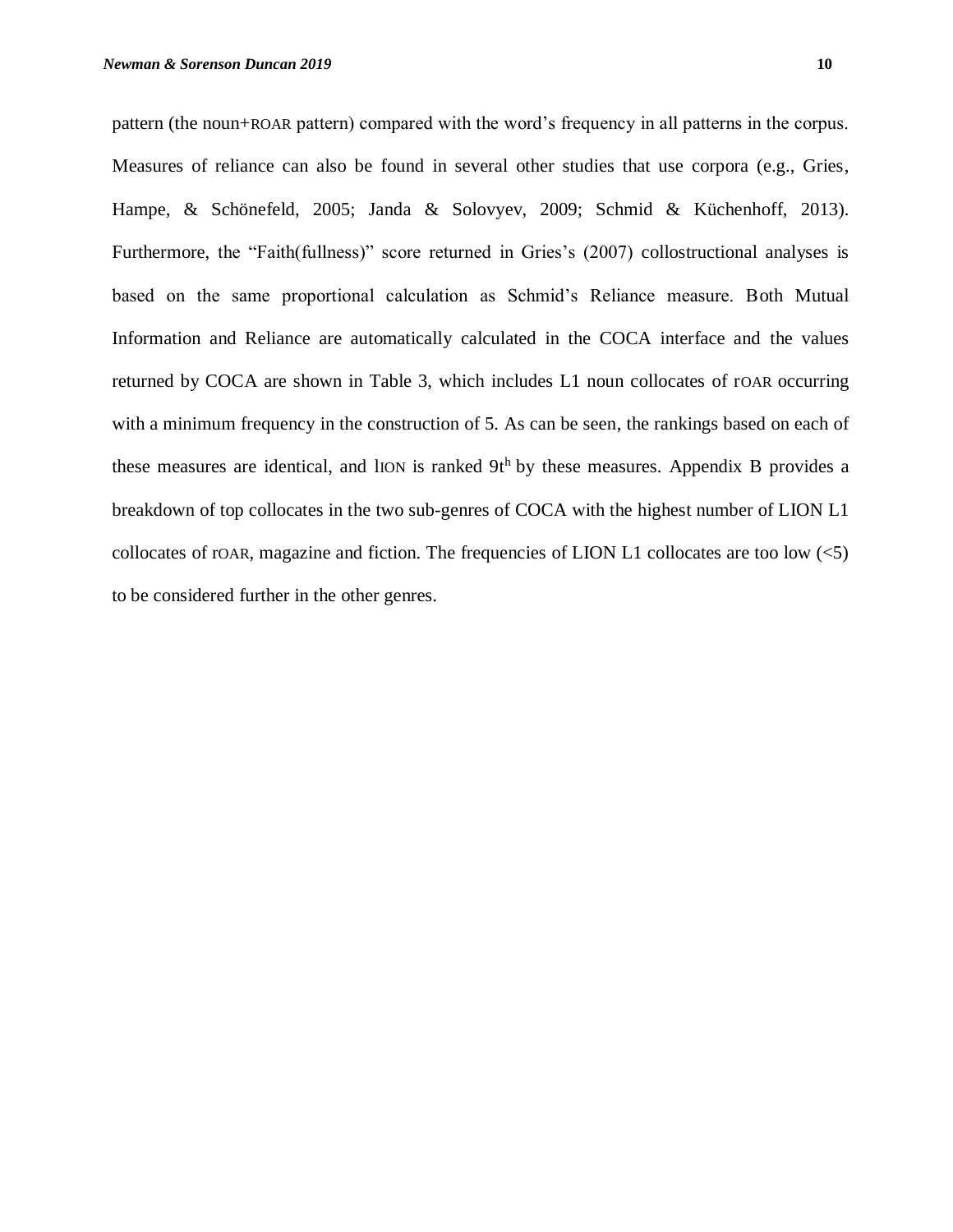pattern (the noun+ROAR pattern) compared with the word's frequency in all patterns in the corpus. Measures of reliance can also be found in several other studies that use corpora (e.g., Gries, Hampe, & Schönefeld, 2005; Janda & Solovyev, 2009; Schmid & Küchenhoff, 2013). Furthermore, the "Faith(fullness)" score returned in Gries's (2007) collostructional analyses is based on the same proportional calculation as Schmid's Reliance measure. Both Mutual Information and Reliance are automatically calculated in the COCA interface and the values returned by COCA are shown in Table 3, which includes L1 noun collocates of rOAR occurring with a minimum frequency in the construction of 5. As can be seen, the rankings based on each of these measures are identical, and lION is ranked  $9t<sup>h</sup>$  by these measures. Appendix B provides a breakdown of top collocates in the two sub-genres of COCA with the highest number of LION L1 collocates of rOAR, magazine and fiction. The frequencies of LION L1 collocates are too low  $\langle$ <5) to be considered further in the other genres.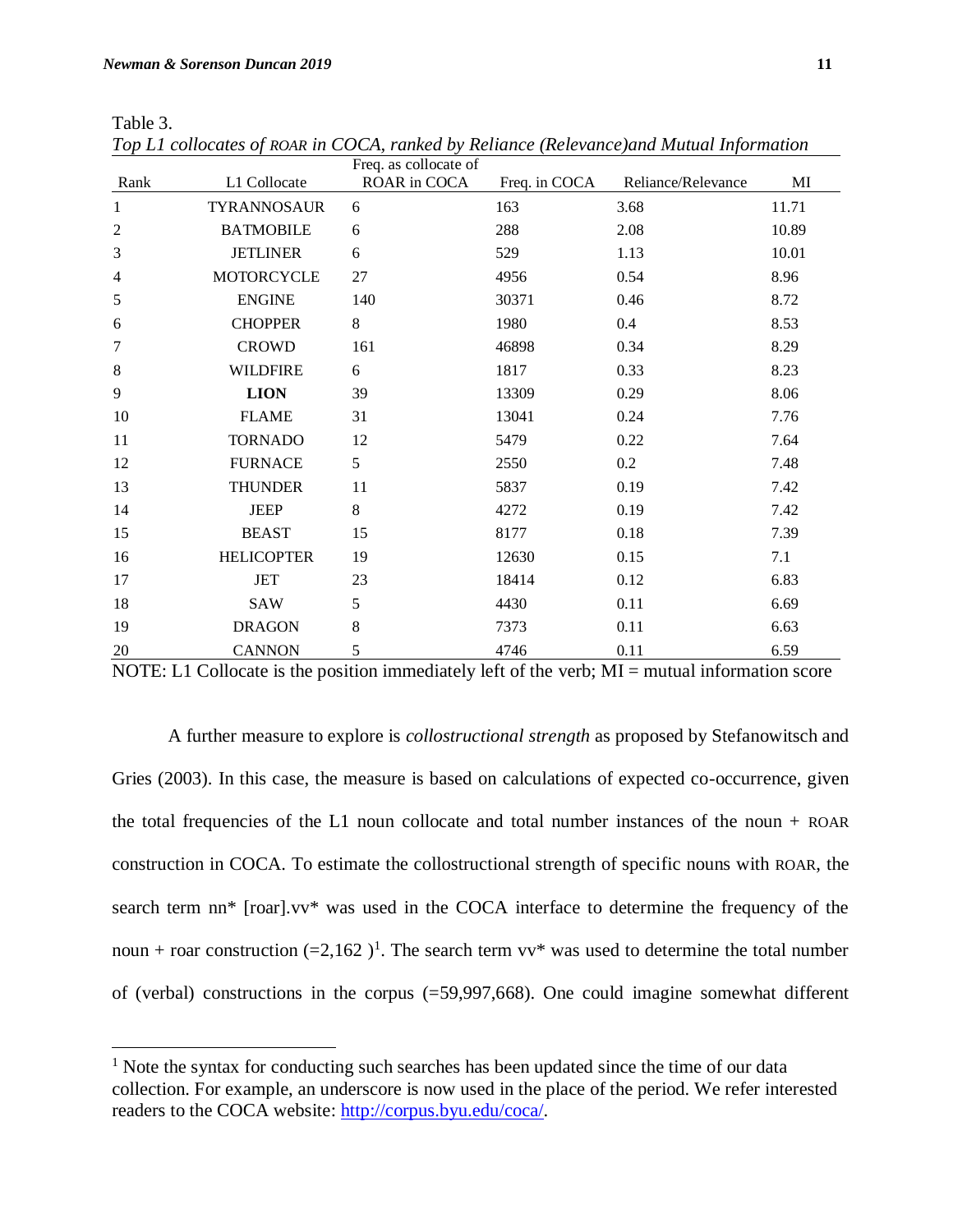Table 3.

 $\overline{a}$ 

|                |                    | Freq. as collocate of |               |                    |       |
|----------------|--------------------|-----------------------|---------------|--------------------|-------|
| Rank           | L1 Collocate       | ROAR in COCA          | Freq. in COCA | Reliance/Relevance | MI    |
| $\mathbf{1}$   | <b>TYRANNOSAUR</b> | 6                     | 163           | 3.68               | 11.71 |
| $\overline{c}$ | <b>BATMOBILE</b>   | 6                     | 288           | 2.08               | 10.89 |
| 3              | <b>JETLINER</b>    | 6                     | 529           | 1.13               | 10.01 |
| $\overline{4}$ | <b>MOTORCYCLE</b>  | 27                    | 4956          | 0.54               | 8.96  |
| 5              | <b>ENGINE</b>      | 140                   | 30371         | 0.46               | 8.72  |
| 6              | <b>CHOPPER</b>     | 8                     | 1980          | $0.4\,$            | 8.53  |
| 7              | <b>CROWD</b>       | 161                   | 46898         | 0.34               | 8.29  |
| $\,8\,$        | <b>WILDFIRE</b>    | 6                     | 1817          | 0.33               | 8.23  |
| 9              | <b>LION</b>        | 39                    | 13309         | 0.29               | 8.06  |
| 10             | <b>FLAME</b>       | 31                    | 13041         | 0.24               | 7.76  |
| 11             | <b>TORNADO</b>     | 12                    | 5479          | 0.22               | 7.64  |
| 12             | <b>FURNACE</b>     | 5                     | 2550          | 0.2                | 7.48  |
| 13             | <b>THUNDER</b>     | 11                    | 5837          | 0.19               | 7.42  |
| 14             | <b>JEEP</b>        | 8                     | 4272          | 0.19               | 7.42  |
| 15             | <b>BEAST</b>       | 15                    | 8177          | 0.18               | 7.39  |
| 16             | <b>HELICOPTER</b>  | 19                    | 12630         | 0.15               | 7.1   |
| 17             | <b>JET</b>         | 23                    | 18414         | 0.12               | 6.83  |
| 18             | <b>SAW</b>         | 5                     | 4430          | 0.11               | 6.69  |
| 19             | <b>DRAGON</b>      | $8\,$                 | 7373          | 0.11               | 6.63  |
| $20\,$         | <b>CANNON</b>      | 5                     | 4746          | 0.11               | 6.59  |

*Top L1 collocates of ROAR in COCA, ranked by Reliance (Relevance)and Mutual Information*

NOTE: L1 Collocate is the position immediately left of the verb; MI = mutual information score

A further measure to explore is *collostructional strength* as proposed by Stefanowitsch and Gries (2003). In this case, the measure is based on calculations of expected co-occurrence, given the total frequencies of the L1 noun collocate and total number instances of the noun + ROAR construction in COCA. To estimate the collostructional strength of specific nouns with ROAR, the search term nn\* [roar].vv\* was used in the COCA interface to determine the frequency of the noun + roar construction  $(=2,162)^1$ . The search term vv\* was used to determine the total number of (verbal) constructions in the corpus (=59,997,668). One could imagine somewhat different

<sup>&</sup>lt;sup>1</sup> Note the syntax for conducting such searches has been updated since the time of our data collection. For example, an underscore is now used in the place of the period. We refer interested readers to the COCA website: http://corpus.byu.edu/coca/.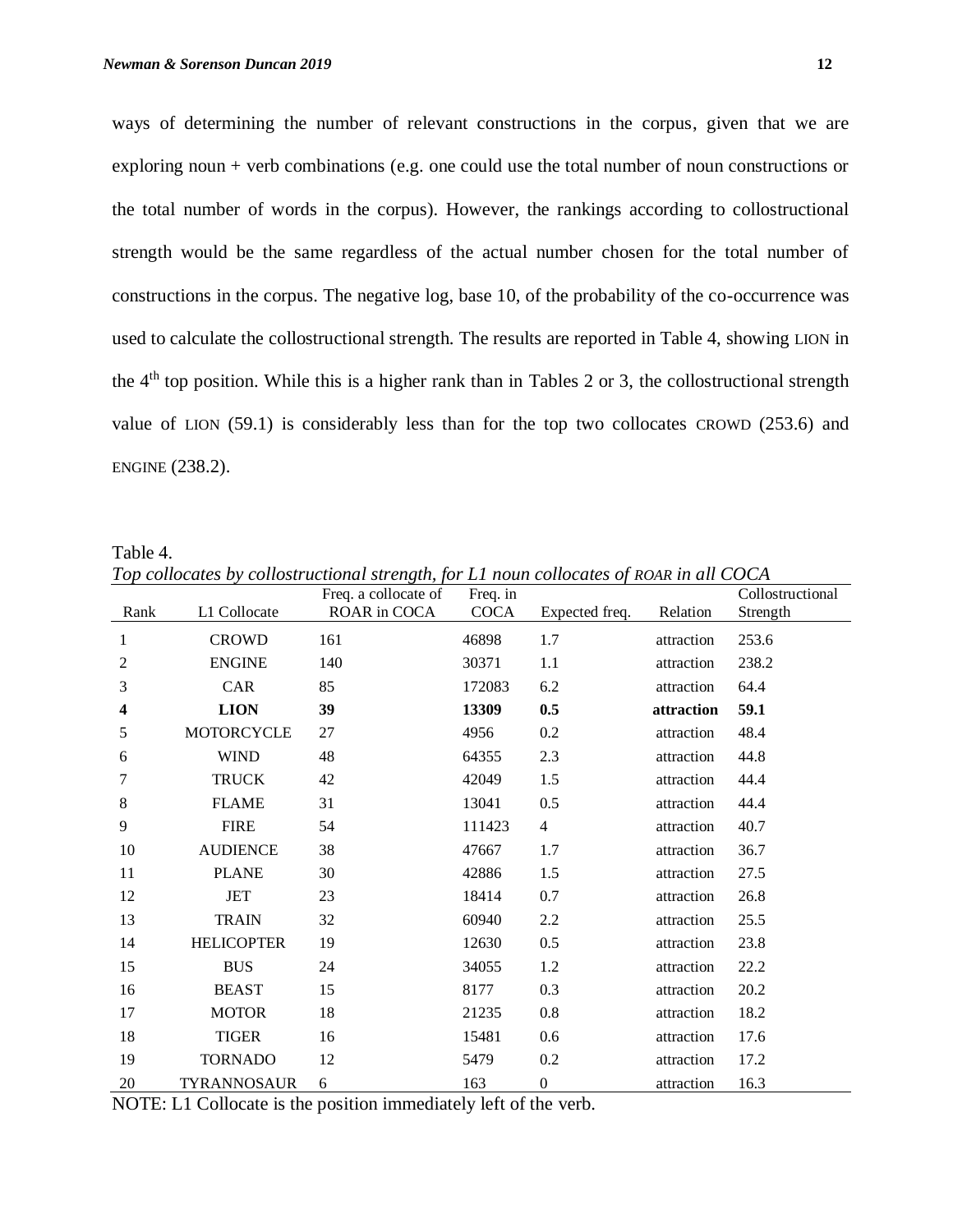ways of determining the number of relevant constructions in the corpus, given that we are exploring noun + verb combinations (e.g. one could use the total number of noun constructions or the total number of words in the corpus). However, the rankings according to collostructional strength would be the same regardless of the actual number chosen for the total number of constructions in the corpus. The negative log, base 10, of the probability of the co-occurrence was used to calculate the collostructional strength. The results are reported in Table 4, showing LION in the 4th top position. While this is a higher rank than in Tables 2 or 3, the collostructional strength value of LION (59.1) is considerably less than for the top two collocates CROWD (253.6) and ENGINE (238.2).

Table 4.

*Top collocates by collostructional strength, for L1 noun collocates of ROAR in all COCA* 

|      |                   | Freq. a collocate of | Freq. in    |                  |            | Collostructional |
|------|-------------------|----------------------|-------------|------------------|------------|------------------|
| Rank | L1 Collocate      | ROAR in COCA         | <b>COCA</b> | Expected freq.   | Relation   | Strength         |
| 1    | <b>CROWD</b>      | 161                  | 46898       | 1.7              | attraction | 253.6            |
| 2    | <b>ENGINE</b>     | 140                  | 30371       | 1.1              | attraction | 238.2            |
| 3    | CAR               | 85                   | 172083      | 6.2              | attraction | 64.4             |
| 4    | <b>LION</b>       | 39                   | 13309       | 0.5              | attraction | 59.1             |
| 5    | MOTORCYCLE        | 27                   | 4956        | 0.2              | attraction | 48.4             |
| 6    | <b>WIND</b>       | 48                   | 64355       | 2.3              | attraction | 44.8             |
| 7    | <b>TRUCK</b>      | 42                   | 42049       | 1.5              | attraction | 44.4             |
| 8    | <b>FLAME</b>      | 31                   | 13041       | 0.5              | attraction | 44.4             |
| 9    | <b>FIRE</b>       | 54                   | 111423      | $\overline{4}$   | attraction | 40.7             |
| 10   | <b>AUDIENCE</b>   | 38                   | 47667       | 1.7              | attraction | 36.7             |
| 11   | <b>PLANE</b>      | 30                   | 42886       | 1.5              | attraction | 27.5             |
| 12   | <b>JET</b>        | 23                   | 18414       | 0.7              | attraction | 26.8             |
| 13   | <b>TRAIN</b>      | 32                   | 60940       | 2.2              | attraction | 25.5             |
| 14   | <b>HELICOPTER</b> | 19                   | 12630       | 0.5              | attraction | 23.8             |
| 15   | <b>BUS</b>        | 24                   | 34055       | 1.2              | attraction | 22.2             |
| 16   | <b>BEAST</b>      | 15                   | 8177        | 0.3              | attraction | 20.2             |
| 17   | <b>MOTOR</b>      | 18                   | 21235       | 0.8              | attraction | 18.2             |
| 18   | <b>TIGER</b>      | 16                   | 15481       | 0.6              | attraction | 17.6             |
| 19   | <b>TORNADO</b>    | 12                   | 5479        | 0.2              | attraction | 17.2             |
| 20   | TYRANNOSAUR       | 6                    | 163         | $\boldsymbol{0}$ | attraction | 16.3             |

NOTE: L1 Collocate is the position immediately left of the verb.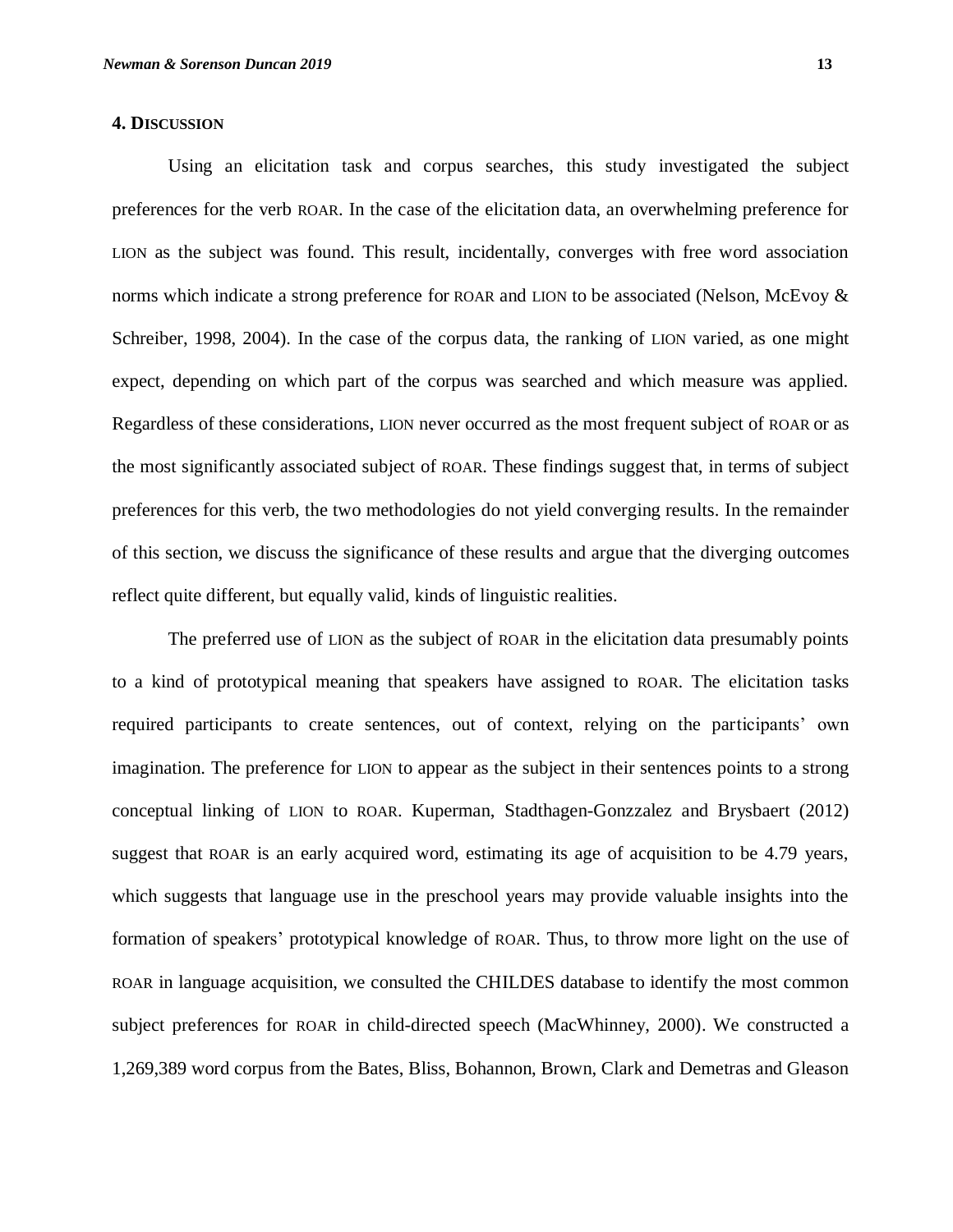## **4. DISCUSSION**

Using an elicitation task and corpus searches, this study investigated the subject preferences for the verb ROAR. In the case of the elicitation data, an overwhelming preference for LION as the subject was found. This result, incidentally, converges with free word association norms which indicate a strong preference for ROAR and LION to be associated (Nelson, McEvoy & Schreiber, 1998, 2004). In the case of the corpus data, the ranking of LION varied, as one might expect, depending on which part of the corpus was searched and which measure was applied. Regardless of these considerations, LION never occurred as the most frequent subject of ROAR or as the most significantly associated subject of ROAR. These findings suggest that, in terms of subject preferences for this verb, the two methodologies do not yield converging results. In the remainder of this section, we discuss the significance of these results and argue that the diverging outcomes reflect quite different, but equally valid, kinds of linguistic realities.

The preferred use of LION as the subject of ROAR in the elicitation data presumably points to a kind of prototypical meaning that speakers have assigned to ROAR. The elicitation tasks required participants to create sentences, out of context, relying on the participants' own imagination. The preference for LION to appear as the subject in their sentences points to a strong conceptual linking of LION to ROAR. Kuperman, Stadthagen-Gonzzalez and Brysbaert (2012) suggest that ROAR is an early acquired word, estimating its age of acquisition to be 4.79 years, which suggests that language use in the preschool years may provide valuable insights into the formation of speakers' prototypical knowledge of ROAR. Thus, to throw more light on the use of ROAR in language acquisition, we consulted the CHILDES database to identify the most common subject preferences for ROAR in child-directed speech (MacWhinney, 2000). We constructed a 1,269,389 word corpus from the Bates, Bliss, Bohannon, Brown, Clark and Demetras and Gleason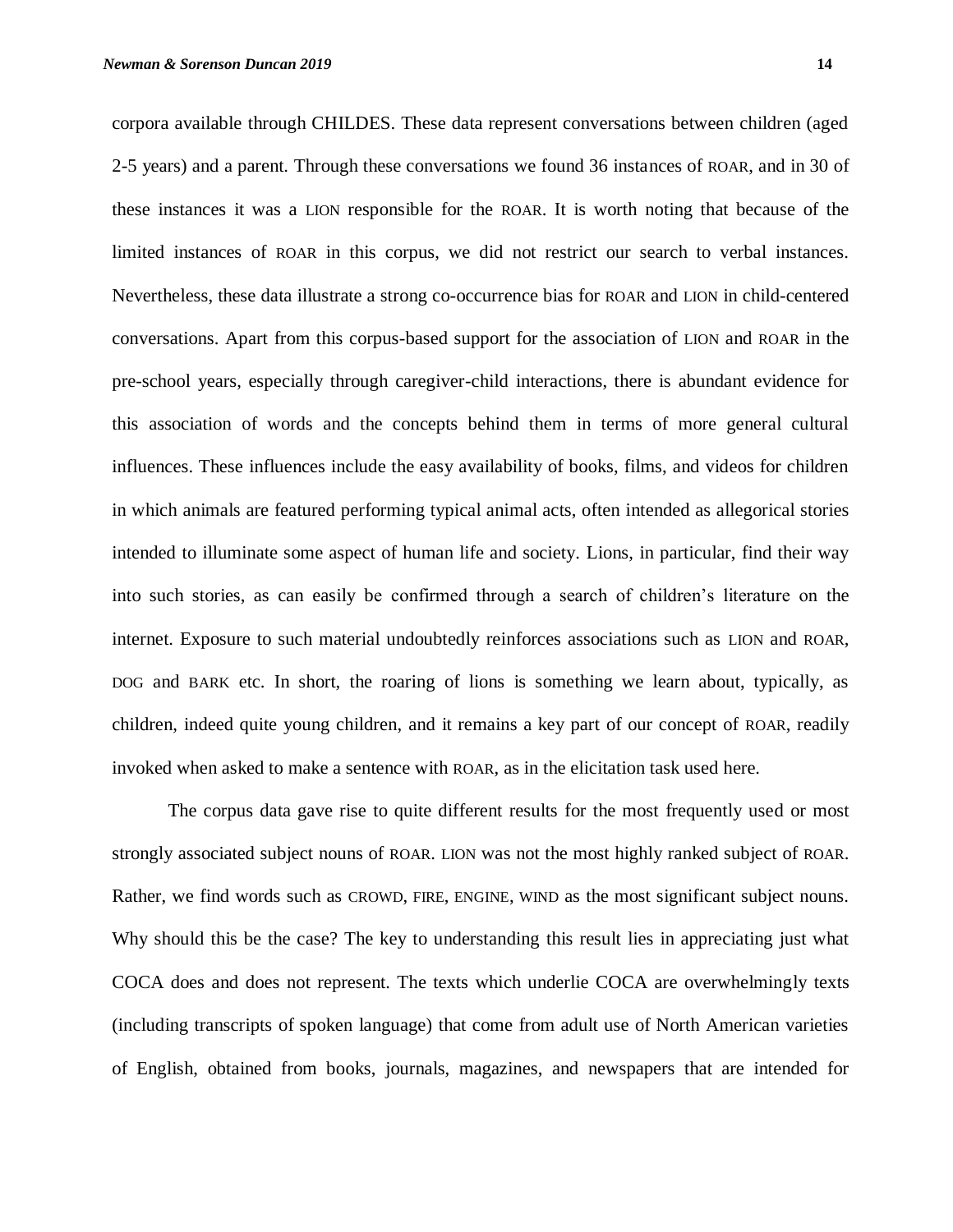corpora available through CHILDES. These data represent conversations between children (aged 2-5 years) and a parent. Through these conversations we found 36 instances of ROAR, and in 30 of these instances it was a LION responsible for the ROAR. It is worth noting that because of the limited instances of ROAR in this corpus, we did not restrict our search to verbal instances. Nevertheless, these data illustrate a strong co-occurrence bias for ROAR and LION in child-centered conversations. Apart from this corpus-based support for the association of LION and ROAR in the pre-school years, especially through caregiver-child interactions, there is abundant evidence for this association of words and the concepts behind them in terms of more general cultural influences. These influences include the easy availability of books, films, and videos for children in which animals are featured performing typical animal acts, often intended as allegorical stories intended to illuminate some aspect of human life and society. Lions, in particular, find their way into such stories, as can easily be confirmed through a search of children's literature on the internet. Exposure to such material undoubtedly reinforces associations such as LION and ROAR, DOG and BARK etc. In short, the roaring of lions is something we learn about, typically, as children, indeed quite young children, and it remains a key part of our concept of ROAR, readily invoked when asked to make a sentence with ROAR, as in the elicitation task used here.

The corpus data gave rise to quite different results for the most frequently used or most strongly associated subject nouns of ROAR. LION was not the most highly ranked subject of ROAR. Rather, we find words such as CROWD, FIRE, ENGINE, WIND as the most significant subject nouns. Why should this be the case? The key to understanding this result lies in appreciating just what COCA does and does not represent. The texts which underlie COCA are overwhelmingly texts (including transcripts of spoken language) that come from adult use of North American varieties of English, obtained from books, journals, magazines, and newspapers that are intended for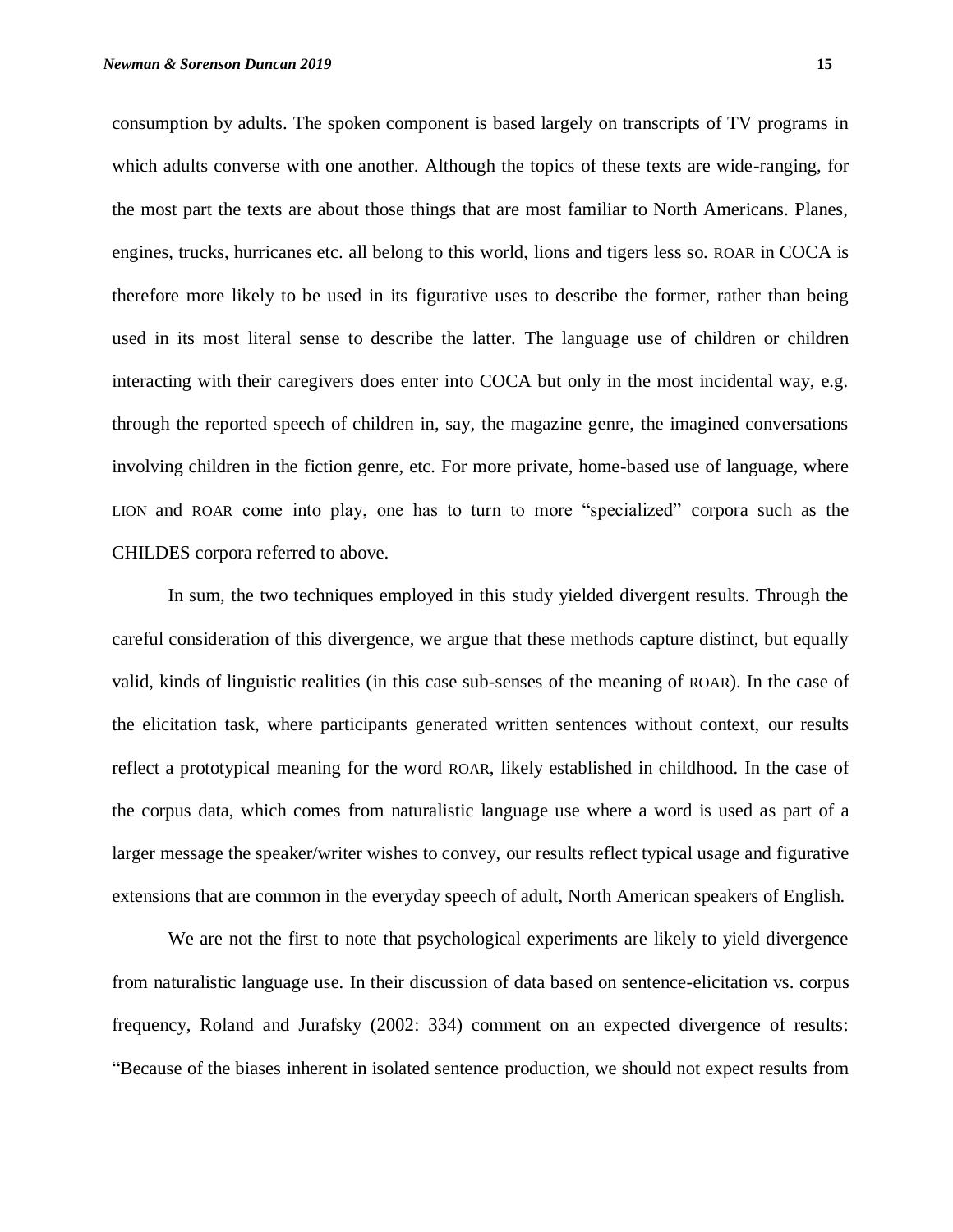consumption by adults. The spoken component is based largely on transcripts of TV programs in which adults converse with one another. Although the topics of these texts are wide-ranging, for the most part the texts are about those things that are most familiar to North Americans. Planes, engines, trucks, hurricanes etc. all belong to this world, lions and tigers less so. ROAR in COCA is therefore more likely to be used in its figurative uses to describe the former, rather than being used in its most literal sense to describe the latter. The language use of children or children interacting with their caregivers does enter into COCA but only in the most incidental way, e.g. through the reported speech of children in, say, the magazine genre, the imagined conversations involving children in the fiction genre, etc. For more private, home-based use of language, where LION and ROAR come into play, one has to turn to more "specialized" corpora such as the CHILDES corpora referred to above.

In sum, the two techniques employed in this study yielded divergent results. Through the careful consideration of this divergence, we argue that these methods capture distinct, but equally valid, kinds of linguistic realities (in this case sub-senses of the meaning of ROAR). In the case of the elicitation task, where participants generated written sentences without context, our results reflect a prototypical meaning for the word ROAR, likely established in childhood. In the case of the corpus data, which comes from naturalistic language use where a word is used as part of a larger message the speaker/writer wishes to convey, our results reflect typical usage and figurative extensions that are common in the everyday speech of adult, North American speakers of English.

We are not the first to note that psychological experiments are likely to yield divergence from naturalistic language use. In their discussion of data based on sentence-elicitation vs. corpus frequency, Roland and Jurafsky (2002: 334) comment on an expected divergence of results: "Because of the biases inherent in isolated sentence production, we should not expect results from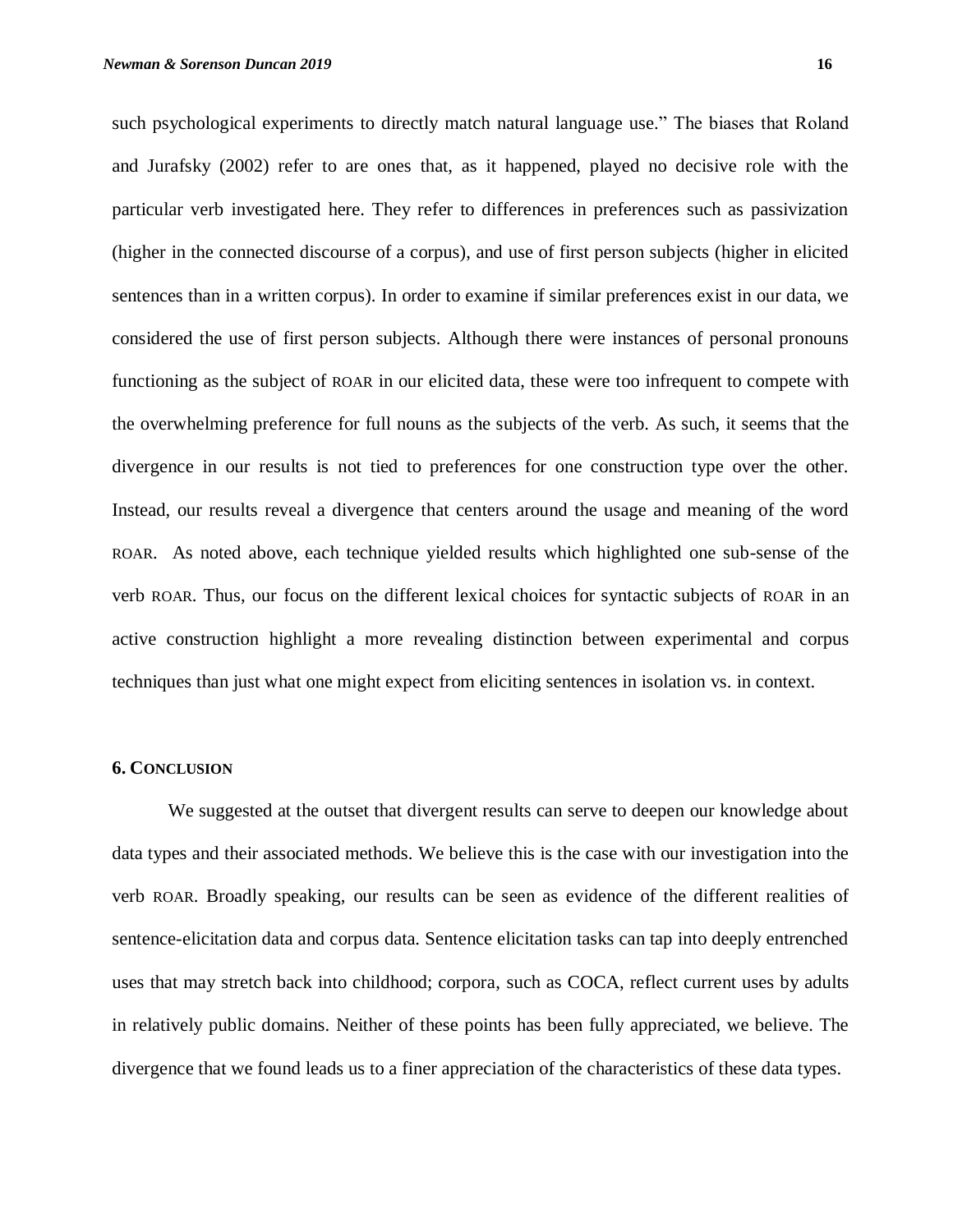such psychological experiments to directly match natural language use." The biases that Roland and Jurafsky (2002) refer to are ones that, as it happened, played no decisive role with the particular verb investigated here. They refer to differences in preferences such as passivization (higher in the connected discourse of a corpus), and use of first person subjects (higher in elicited sentences than in a written corpus). In order to examine if similar preferences exist in our data, we considered the use of first person subjects. Although there were instances of personal pronouns functioning as the subject of ROAR in our elicited data, these were too infrequent to compete with the overwhelming preference for full nouns as the subjects of the verb. As such, it seems that the divergence in our results is not tied to preferences for one construction type over the other. Instead, our results reveal a divergence that centers around the usage and meaning of the word ROAR. As noted above, each technique yielded results which highlighted one sub-sense of the verb ROAR. Thus, our focus on the different lexical choices for syntactic subjects of ROAR in an active construction highlight a more revealing distinction between experimental and corpus techniques than just what one might expect from eliciting sentences in isolation vs. in context.

#### **6. CONCLUSION**

We suggested at the outset that divergent results can serve to deepen our knowledge about data types and their associated methods. We believe this is the case with our investigation into the verb ROAR. Broadly speaking, our results can be seen as evidence of the different realities of sentence-elicitation data and corpus data. Sentence elicitation tasks can tap into deeply entrenched uses that may stretch back into childhood; corpora, such as COCA, reflect current uses by adults in relatively public domains. Neither of these points has been fully appreciated, we believe. The divergence that we found leads us to a finer appreciation of the characteristics of these data types.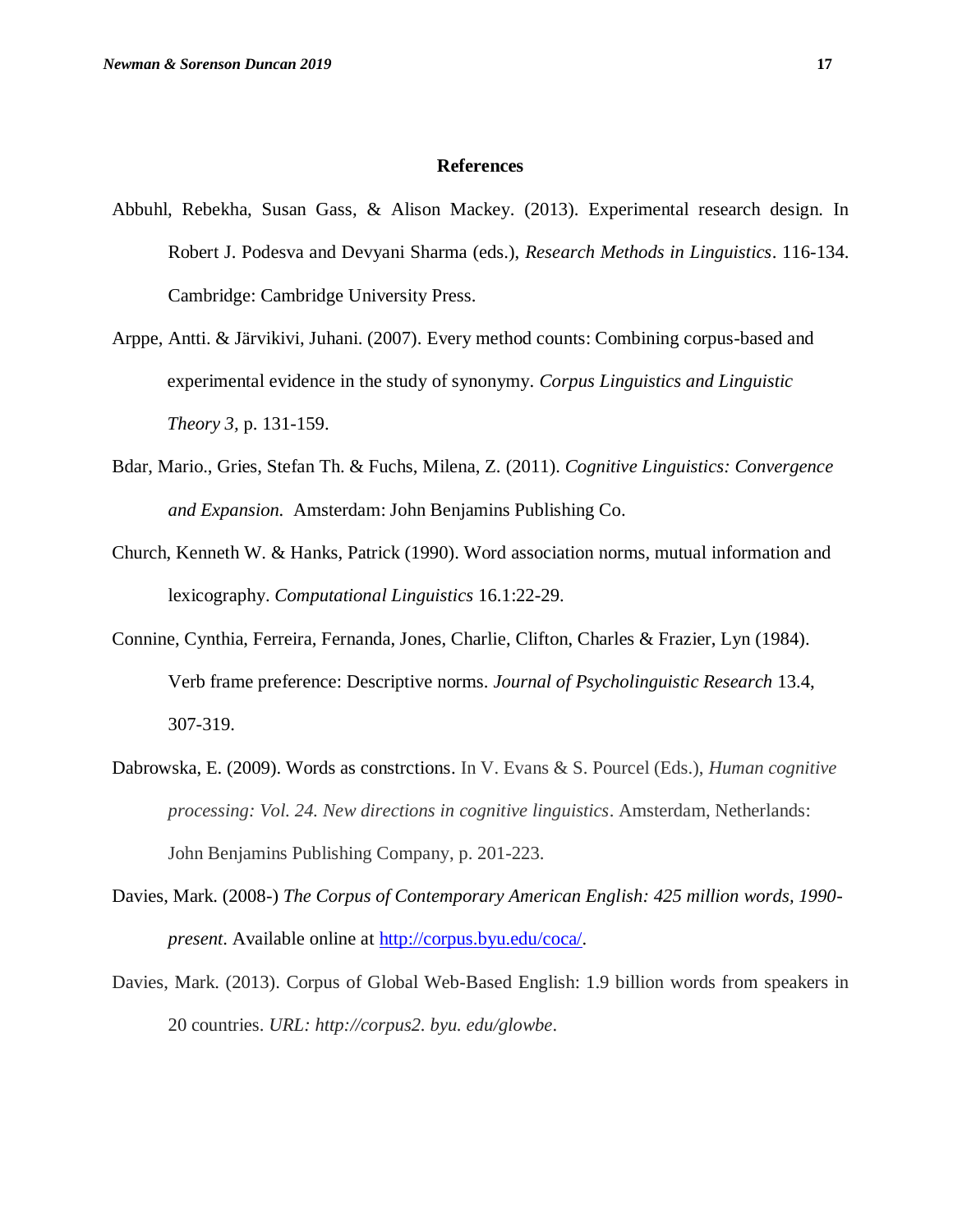#### **References**

- Abbuhl, Rebekha, Susan Gass, & Alison Mackey. (2013). Experimental research design. In Robert J. Podesva and Devyani Sharma (eds.), *Research Methods in Linguistics*. 116-134. Cambridge: Cambridge University Press.
- Arppe, Antti. & Järvikivi, Juhani. (2007). Every method counts: Combining corpus-based and experimental evidence in the study of synonymy. *Corpus Linguistics and Linguistic Theory 3,* p. 131-159.
- Bdar, Mario., Gries, Stefan Th. & Fuchs, Milena, Z. (2011). *Cognitive Linguistics: Convergence and Expansion.* Amsterdam: John Benjamins Publishing Co.
- Church, Kenneth W. & Hanks, Patrick (1990). Word association norms, mutual information and lexicography. *Computational Linguistics* 16.1:22-29.
- Connine, Cynthia, Ferreira, Fernanda, Jones, Charlie, Clifton, Charles & Frazier, Lyn (1984). Verb frame preference: Descriptive norms. *Journal of Psycholinguistic Research* 13.4, 307-319.
- Dabrowska, E. (2009). Words as constrctions. In V. Evans & S. Pourcel (Eds.), *Human cognitive processing: Vol. 24. New directions in cognitive linguistics*. Amsterdam, Netherlands: John Benjamins Publishing Company, p. 201-223.
- Davies, Mark. (2008-) *The Corpus of Contemporary American English: 425 million words, 1990 present*. Available online at http://corpus.byu.edu/coca/.
- Davies, Mark. (2013). Corpus of Global Web-Based English: 1.9 billion words from speakers in 20 countries. *URL: http://corpus2. byu. edu/glowbe*.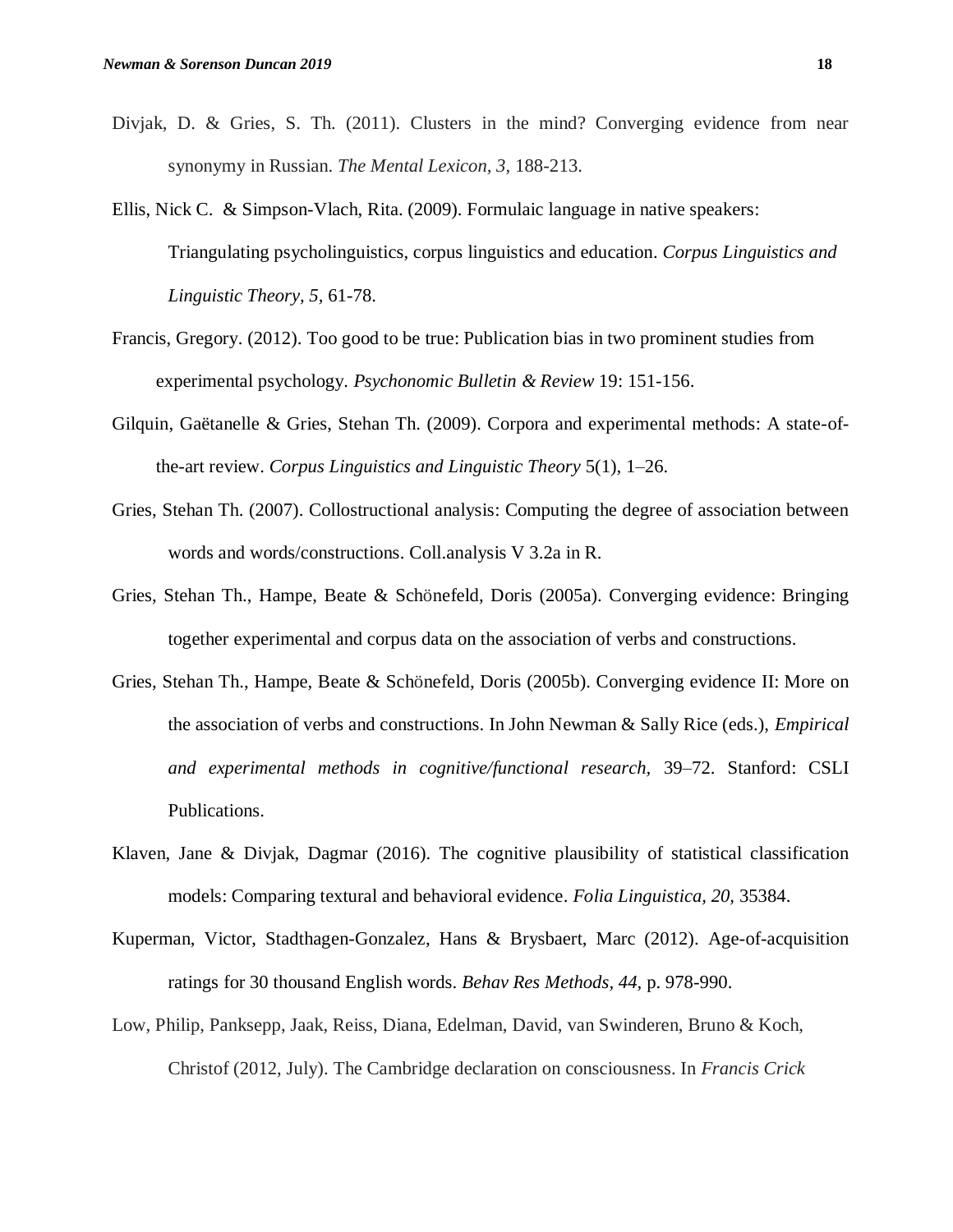- Divjak, D. & Gries, S. Th. (2011). Clusters in the mind? Converging evidence from near synonymy in Russian. *The Mental Lexicon, 3,* 188-213.
- Ellis, Nick C. & Simpson-Vlach, Rita. (2009). Formulaic language in native speakers: Triangulating psycholinguistics, corpus linguistics and education. *Corpus Linguistics and Linguistic Theory, 5,* 61-78.
- Francis, Gregory. (2012). Too good to be true: Publication bias in two prominent studies from experimental psychology. *Psychonomic Bulletin & Review* 19: 151-156.
- Gilquin, Gaëtanelle & Gries, Stehan Th. (2009). Corpora and experimental methods: A state-ofthe-art review. *Corpus Linguistics and Linguistic Theory* 5(1), 1–26.
- Gries, Stehan Th. (2007). Collostructional analysis: Computing the degree of association between words and words/constructions. Coll.analysis V 3.2a in R.
- Gries, Stehan Th., Hampe, Beate & Schönefeld, Doris (2005a). Converging evidence: Bringing together experimental and corpus data on the association of verbs and constructions.
- Gries, Stehan Th., Hampe, Beate & Schönefeld, Doris (2005b). Converging evidence II: More on the association of verbs and constructions. In John Newman & Sally Rice (eds.), *Empirical and experimental methods in cognitive/functional research,* 39–72. Stanford: CSLI Publications.
- Klaven, Jane & Divjak, Dagmar  $(2016)$ . The cognitive plausibility of statistical classification models: Comparing textural and behavioral evidence. *Folia Linguistica, 20,* 35384.
- Kuperman, Victor, Stadthagen-Gonzalez, Hans & Brysbaert, Marc (2012). Age-of-acquisition ratings for 30 thousand English words. *Behav Res Methods, 44,* p. 978-990.
- Low, Philip, Panksepp, Jaak, Reiss, Diana, Edelman, David, van Swinderen, Bruno & Koch, Christof (2012, July). The Cambridge declaration on consciousness. In *Francis Crick*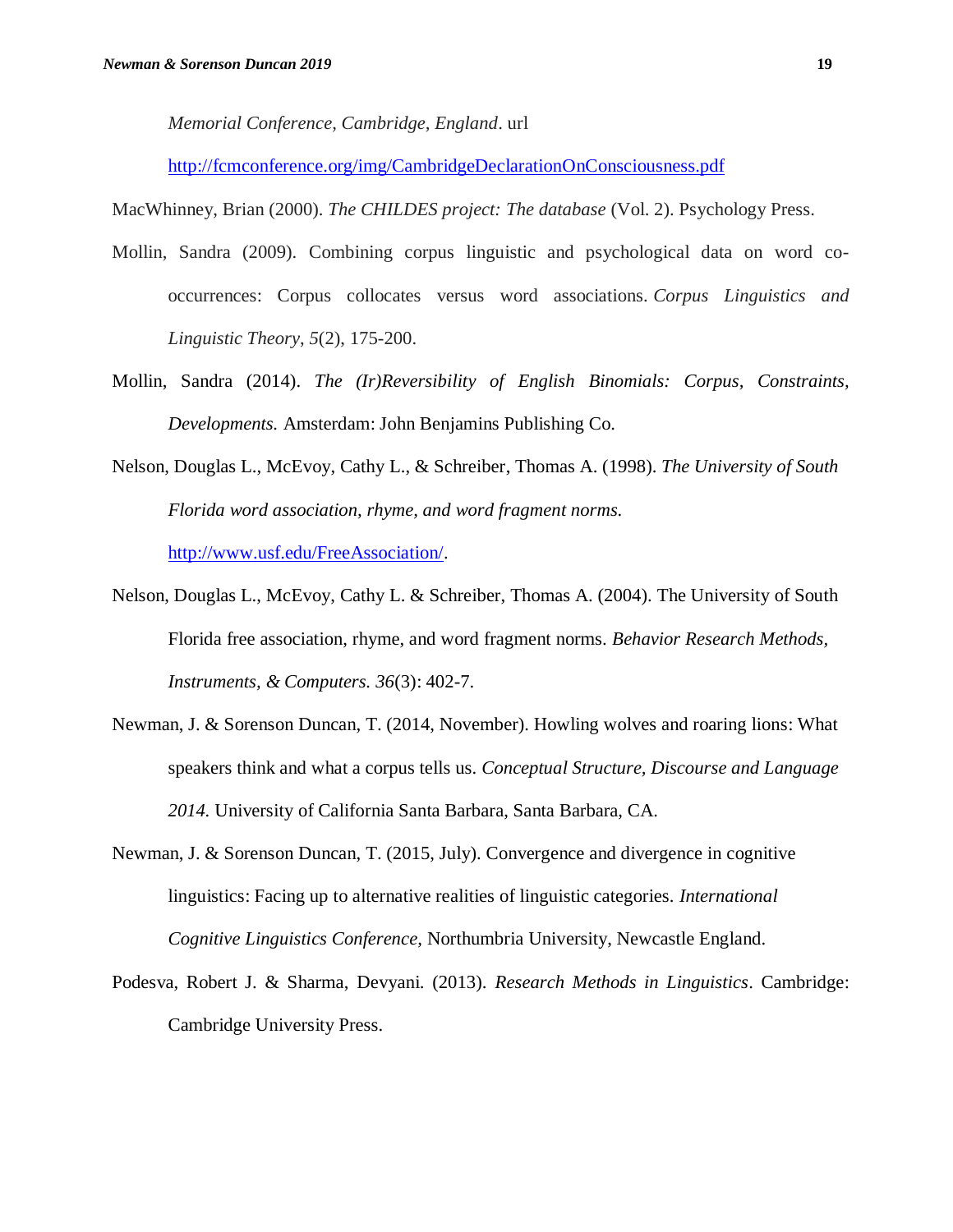*Memorial Conference, Cambridge, England*. url

http://fcmconference.org/img/CambridgeDeclarationOnConsciousness.pdf

MacWhinney, Brian (2000). *The CHILDES project: The database* (Vol. 2). Psychology Press.

- Mollin, Sandra (2009). Combining corpus linguistic and psychological data on word cooccurrences: Corpus collocates versus word associations. *Corpus Linguistics and Linguistic Theory*, *5*(2), 175-200.
- Mollin, Sandra (2014). *The (Ir)Reversibility of English Binomials: Corpus, Constraints, Developments.* Amsterdam: John Benjamins Publishing Co.
- Nelson, Douglas L., McEvoy, Cathy L., & Schreiber, Thomas A. (1998). *The University of South Florida word association, rhyme, and word fragment norms.* http://www.usf.edu/FreeAssociation/.
- Nelson, Douglas L., McEvoy, Cathy L. & Schreiber, Thomas A. (2004). The University of South Florida free association, rhyme, and word fragment norms. *Behavior Research Methods, Instruments, & Computers. 36*(3): 402-7.
- Newman, J. & Sorenson Duncan, T. (2014, November). Howling wolves and roaring lions: What speakers think and what a corpus tells us. *Conceptual Structure, Discourse and Language 2014.* University of California Santa Barbara, Santa Barbara, CA.
- Newman, J. & Sorenson Duncan, T. (2015, July). Convergence and divergence in cognitive linguistics: Facing up to alternative realities of linguistic categories. *International Cognitive Linguistics Conference,* Northumbria University, Newcastle England.
- Podesva, Robert J. & Sharma, Devyani. (2013). *Research Methods in Linguistics*. Cambridge: Cambridge University Press.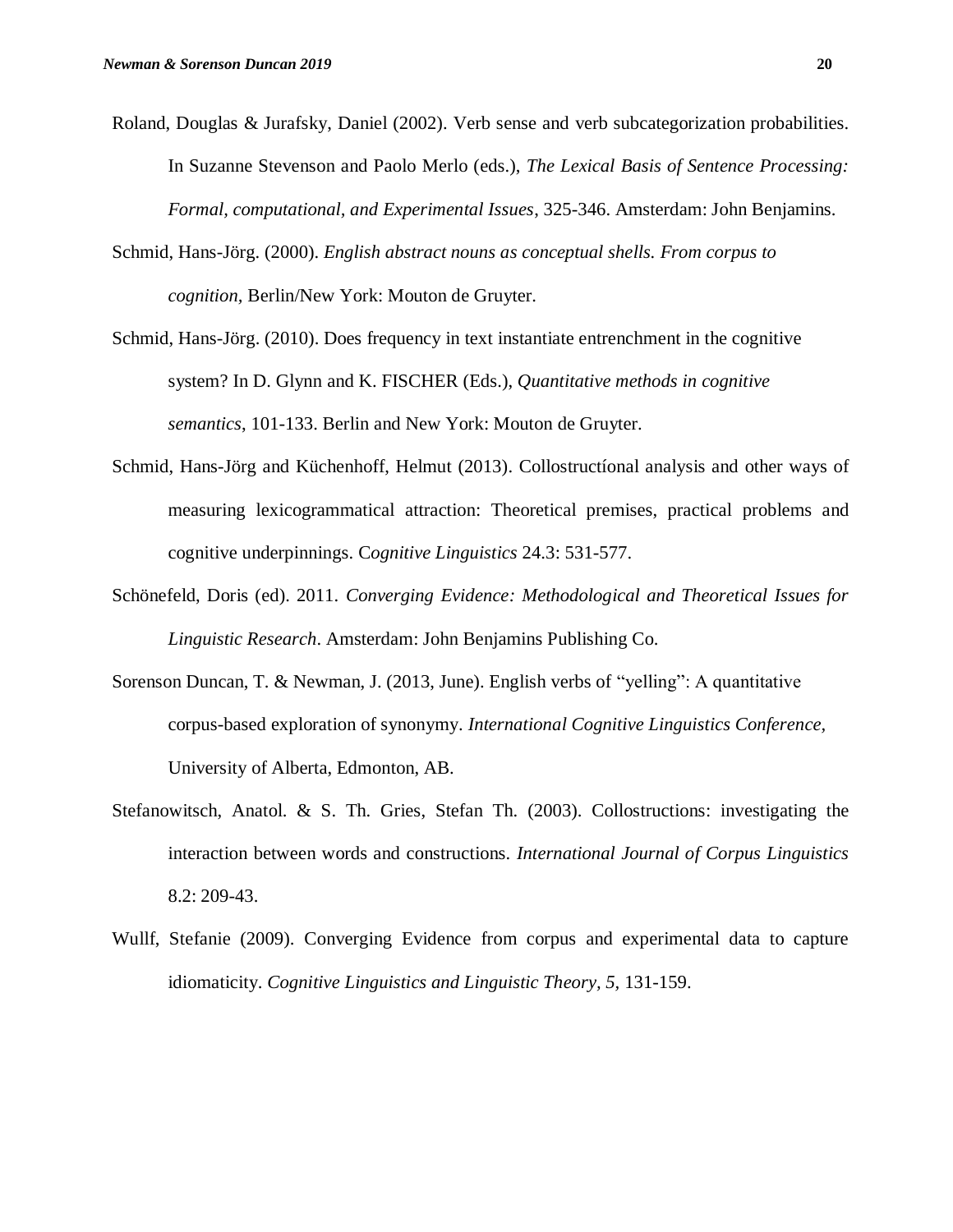- Roland, Douglas & Jurafsky, Daniel (2002). Verb sense and verb subcategorization probabilities. In Suzanne Stevenson and Paolo Merlo (eds.), *The Lexical Basis of Sentence Processing: Formal, computational, and Experimental Issues*, 325-346. Amsterdam: John Benjamins.
- Schmid, Hans-Jörg. (2000). *English abstract nouns as conceptual shells. From corpus to cognition,* Berlin/New York: Mouton de Gruyter.
- Schmid, Hans-Jörg. (2010). Does frequency in text instantiate entrenchment in the cognitive system? In D. Glynn and K. FISCHER (Eds.), *Quantitative methods in cognitive semantics*, 101-133. Berlin and New York: Mouton de Gruyter.
- Schmid, Hans-Jörg and Küchenhoff, Helmut (2013). Collostructíonal analysis and other ways of measuring lexicogrammatical attraction: Theoretical premises, practical problems and cognitive underpinnings. C*ognitive Linguistics* 24.3: 531-577.
- Schönefeld, Doris (ed). 2011. *Converging Evidence: Methodological and Theoretical Issues for Linguistic Research*. Amsterdam: John Benjamins Publishing Co.
- Sorenson Duncan, T. & Newman, J. (2013, June). English verbs of "yelling": A quantitative corpus-based exploration of synonymy. *International Cognitive Linguistics Conference,*  University of Alberta, Edmonton, AB.
- Stefanowitsch, Anatol. & S. Th. Gries, Stefan Th. (2003). Collostructions: investigating the interaction between words and constructions. *International Journal of Corpus Linguistics*  8.2: 209-43.
- Wullf, Stefanie (2009). Converging Evidence from corpus and experimental data to capture idiomaticity. *Cognitive Linguistics and Linguistic Theory, 5,* 131-159.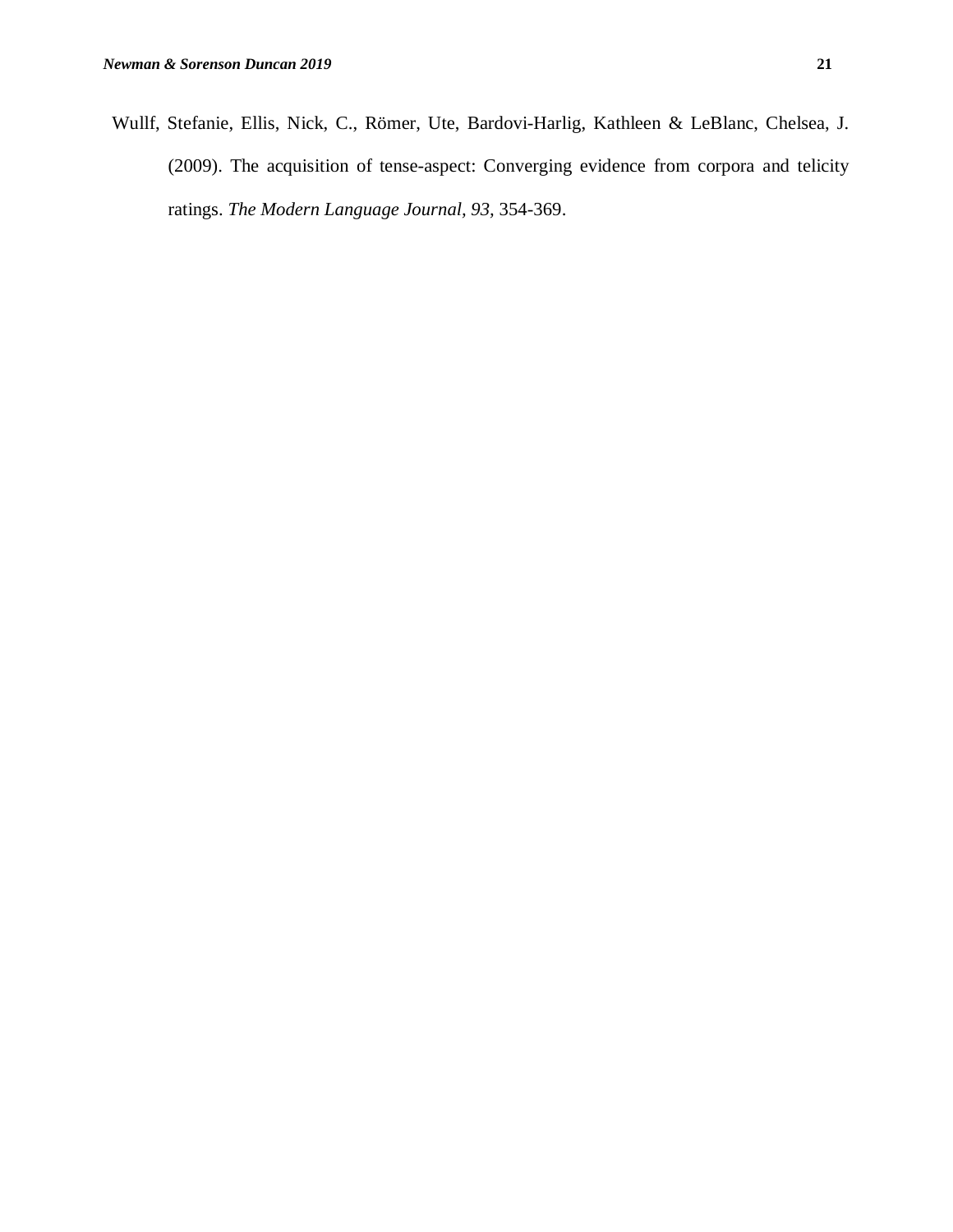Wullf, Stefanie, Ellis, Nick, C., Römer, Ute, Bardovi-Harlig, Kathleen & LeBlanc, Chelsea, J. (2009). The acquisition of tense-aspect: Converging evidence from corpora and telicity ratings. *The Modern Language Journal, 93,* 354-369.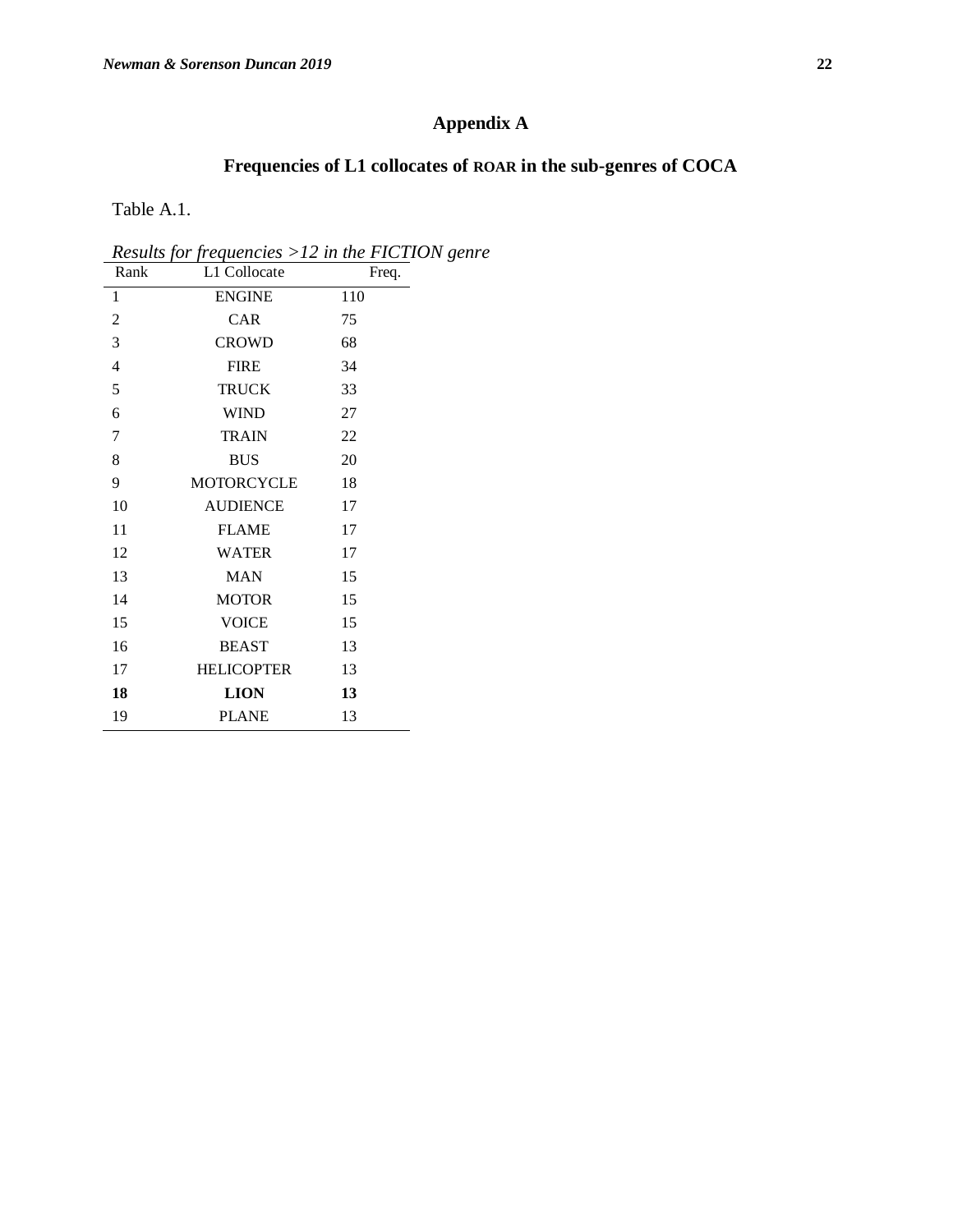# **Appendix A**

# **Frequencies of L1 collocates of ROAR in the sub-genres of COCA**

Table A.1.

*Results for frequencies >12 in the FICTION genre*

| Rank           | L1 Collocate<br>Freq. |     |
|----------------|-----------------------|-----|
| 1              | <b>ENGINE</b>         | 110 |
| $\overline{c}$ | CAR                   | 75  |
| 3              | <b>CROWD</b>          | 68  |
| $\overline{4}$ | <b>FIRE</b>           | 34  |
| 5              | <b>TRUCK</b>          | 33  |
| 6              | <b>WIND</b>           | 27  |
| $\overline{7}$ | <b>TRAIN</b>          | 22  |
| 8              | <b>BUS</b>            | 20  |
| 9              | MOTORCYCLE            | 18  |
| 10             | <b>AUDIENCE</b>       | 17  |
| 11             | <b>FLAME</b>          | 17  |
| 12             | <b>WATER</b>          | 17  |
| 13             | <b>MAN</b>            | 15  |
| 14             | <b>MOTOR</b>          | 15  |
| 15             | <b>VOICE</b>          | 15  |
| 16             | <b>BEAST</b>          | 13  |
| 17             | <b>HELICOPTER</b>     | 13  |
| 18             | <b>LION</b>           | 13  |
| 19             | <b>PLANE</b>          | 13  |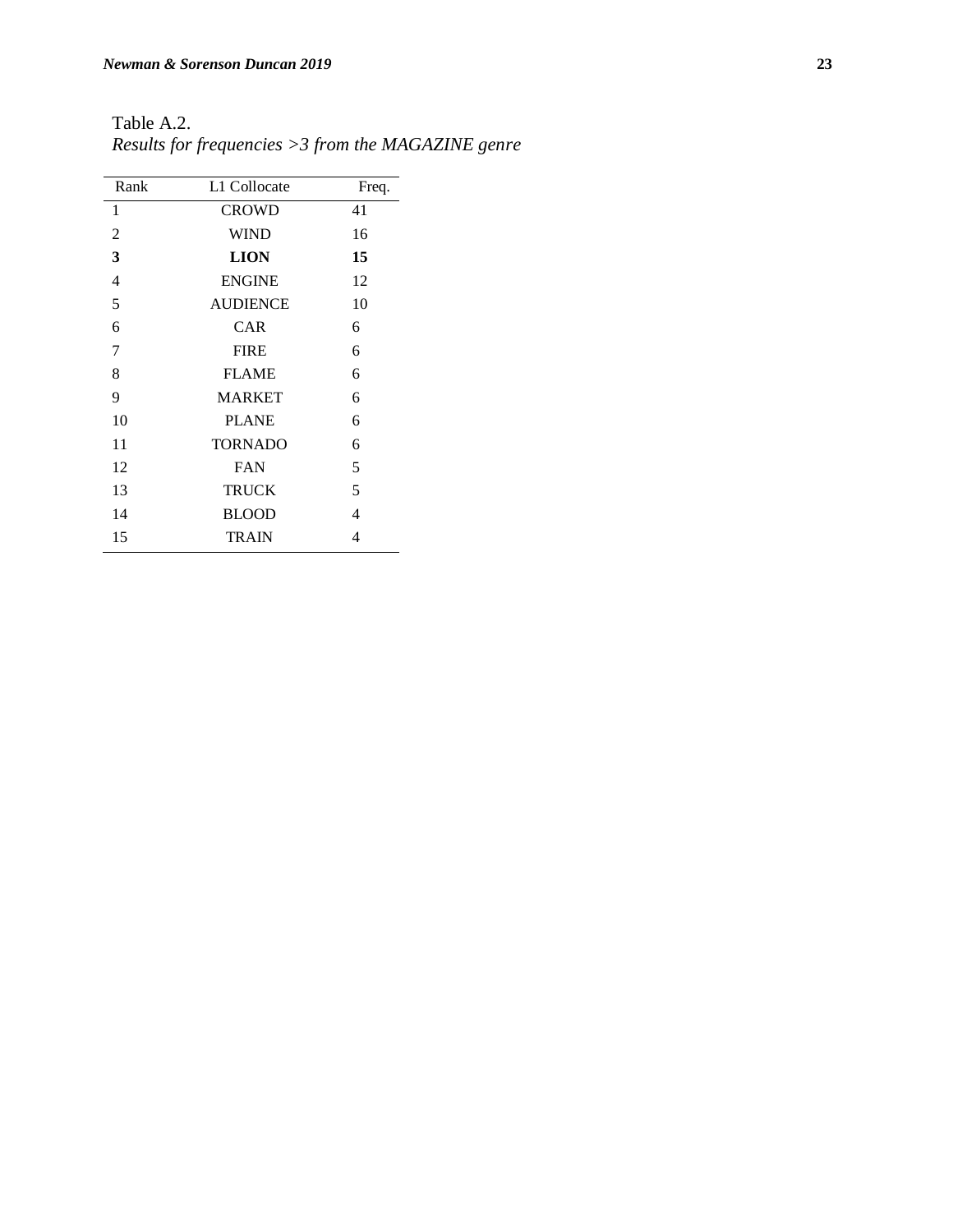| Rank           | L1 Collocate    | Freq. |
|----------------|-----------------|-------|
| 1              | <b>CROWD</b>    | 41    |
| $\overline{2}$ | <b>WIND</b>     | 16    |
| 3              | <b>LION</b>     | 15    |
| 4              | <b>ENGINE</b>   | 12    |
| 5              | <b>AUDIENCE</b> | 10    |
| 6              | <b>CAR</b>      | 6     |
| 7              | <b>FIRE</b>     | 6     |
| 8              | <b>FLAME</b>    | 6     |
| 9              | <b>MARKET</b>   | 6     |
| 10             | <b>PLANE</b>    | 6     |
| 11             | <b>TORNADO</b>  | 6     |
| 12             | <b>FAN</b>      | 5     |
| 13             | <b>TRUCK</b>    | 5     |
| 14             | <b>BLOOD</b>    | 4     |
| 15             | <b>TRAIN</b>    | 4     |

Table A.2. *Results for frequencies >3 from the MAGAZINE genre*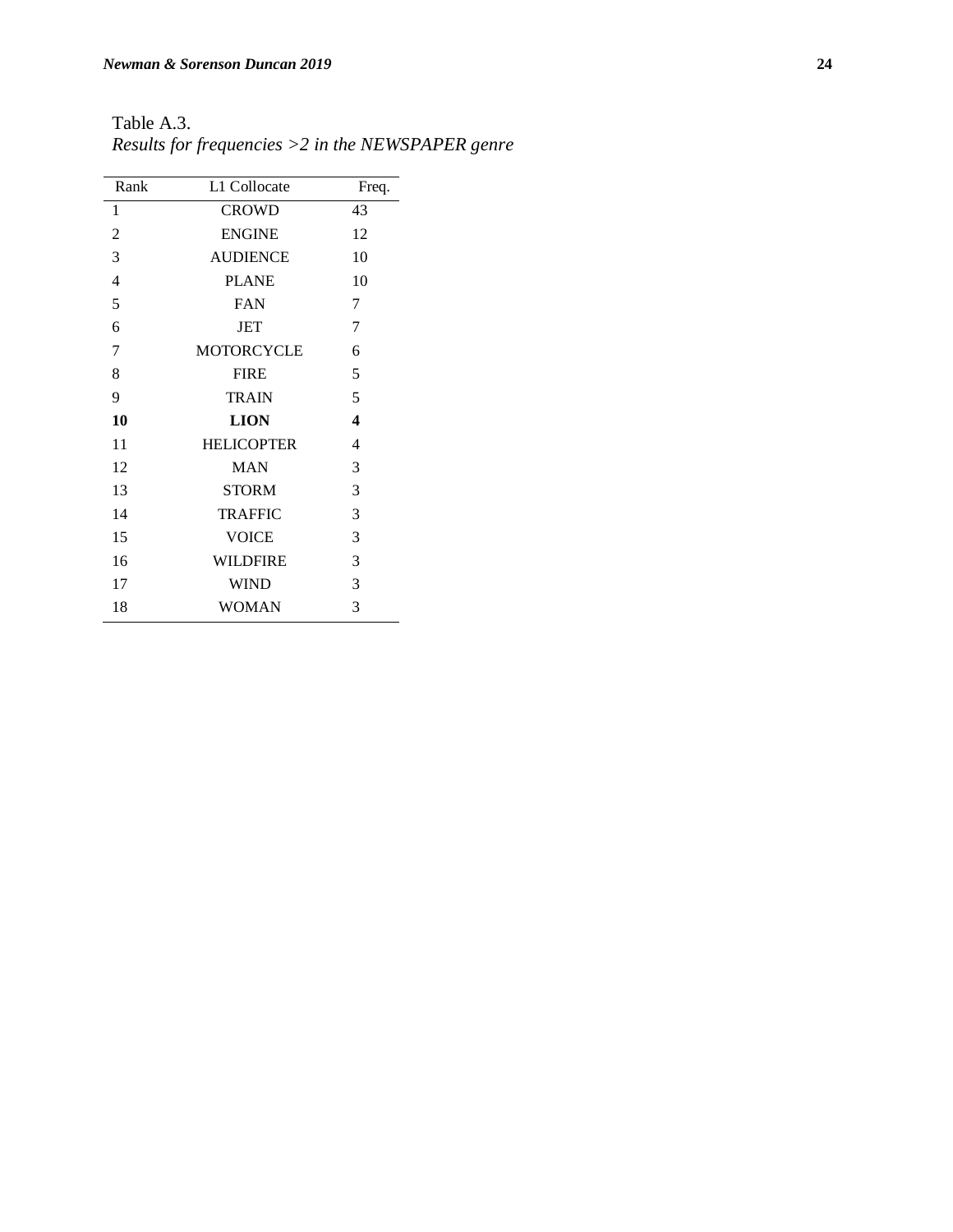| Rank | L1 Collocate      | Freq.            |
|------|-------------------|------------------|
| 1    | <b>CROWD</b>      | 43               |
| 2    | <b>ENGINE</b>     | 12               |
| 3    | <b>AUDIENCE</b>   | 10               |
| 4    | <b>PLANE</b>      | 10               |
| 5    | <b>FAN</b>        | 7                |
| 6    | <b>JET</b>        | 7                |
| 7    | <b>MOTORCYCLE</b> | 6                |
| 8    | <b>FIRE</b>       | 5                |
| 9    | <b>TRAIN</b>      | 5                |
| 10   | <b>LION</b>       | $\boldsymbol{4}$ |
| 11   | <b>HELICOPTER</b> | $\overline{4}$   |
| 12   | <b>MAN</b>        | 3                |
| 13   | <b>STORM</b>      | 3                |
| 14   | <b>TRAFFIC</b>    | 3                |
| 15   | <b>VOICE</b>      | 3                |
| 16   | <b>WILDFIRE</b>   | 3                |
| 17   | <b>WIND</b>       | 3                |
| 18   | <b>WOMAN</b>      | 3                |

Table A.3. *Results for frequencies >2 in the NEWSPAPER genre*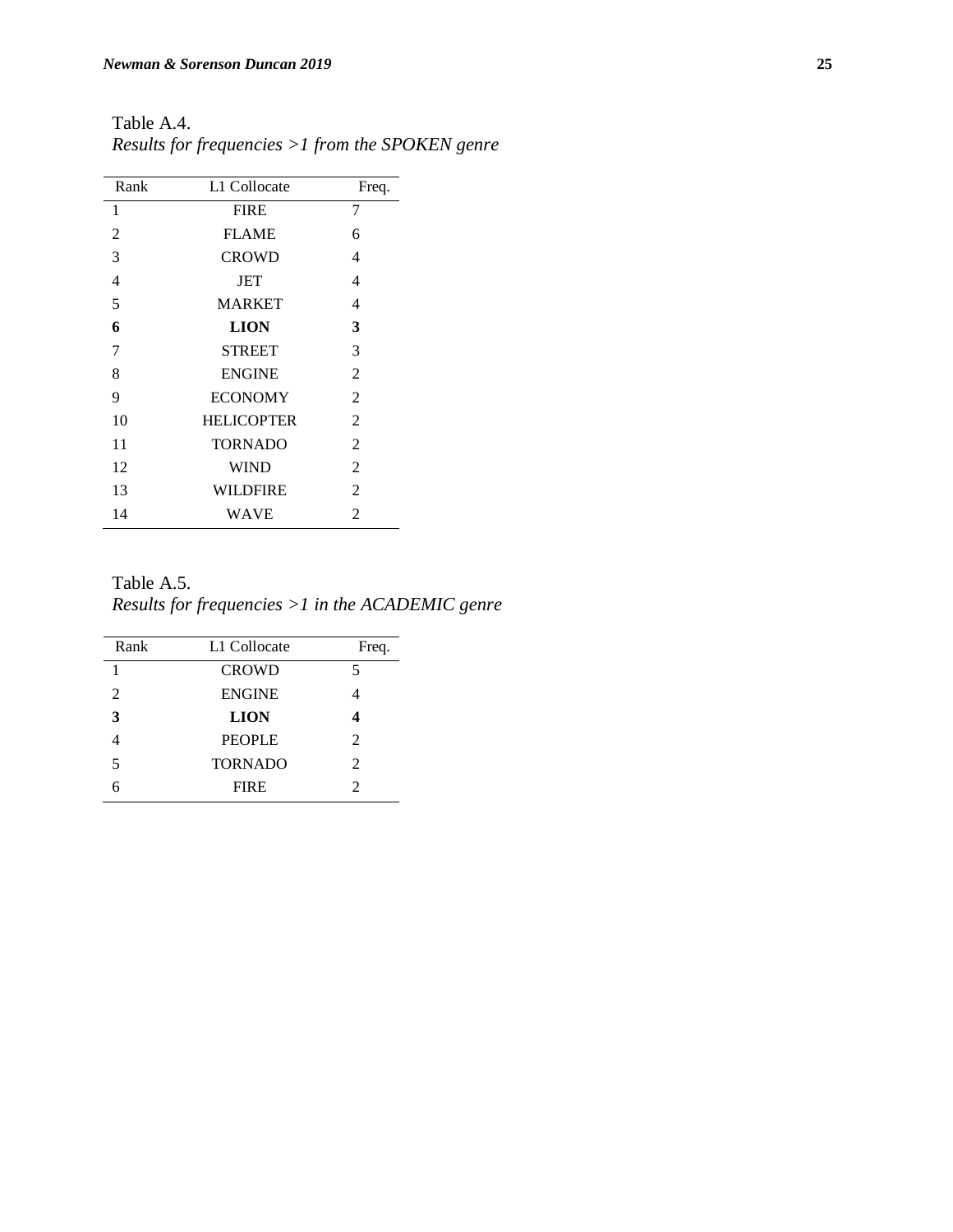| Rank | L1 Collocate      | Freq.          |
|------|-------------------|----------------|
| 1    | <b>FIRE</b>       | 7              |
| 2    | <b>FLAME</b>      | 6              |
| 3    | <b>CROWD</b>      | 4              |
| 4    | JET               | 4              |
| 5    | <b>MARKET</b>     | 4              |
| 6    | <b>LION</b>       | 3              |
| 7    | <b>STREET</b>     | 3              |
| 8    | <b>ENGINE</b>     | $\overline{2}$ |
| 9    | <b>ECONOMY</b>    | $\overline{2}$ |
| 10   | <b>HELICOPTER</b> | $\overline{2}$ |
| 11   | <b>TORNADO</b>    | 2              |
| 12   | <b>WIND</b>       | 2              |
| 13   | WILDFIRE          | $\overline{2}$ |
| 14   | WAVE              | $\mathfrak{D}$ |

Table A.4. *Results for frequencies >1 from the SPOKEN genre*

Table A.5. *Results for frequencies >1 in the ACADEMIC genre*

| Rank           | L1 Collocate   | Freq.                       |
|----------------|----------------|-----------------------------|
| 1              | <b>CROWD</b>   | 5                           |
| 2              | <b>ENGINE</b>  |                             |
| 3              | <b>LION</b>    |                             |
|                | <b>PEOPLE</b>  | $\mathfrak{D}$              |
| $\overline{5}$ | <b>TORNADO</b> | $\mathfrak{D}$              |
| 6              | <b>FIRE</b>    | $\mathcal{D}_{\mathcal{L}}$ |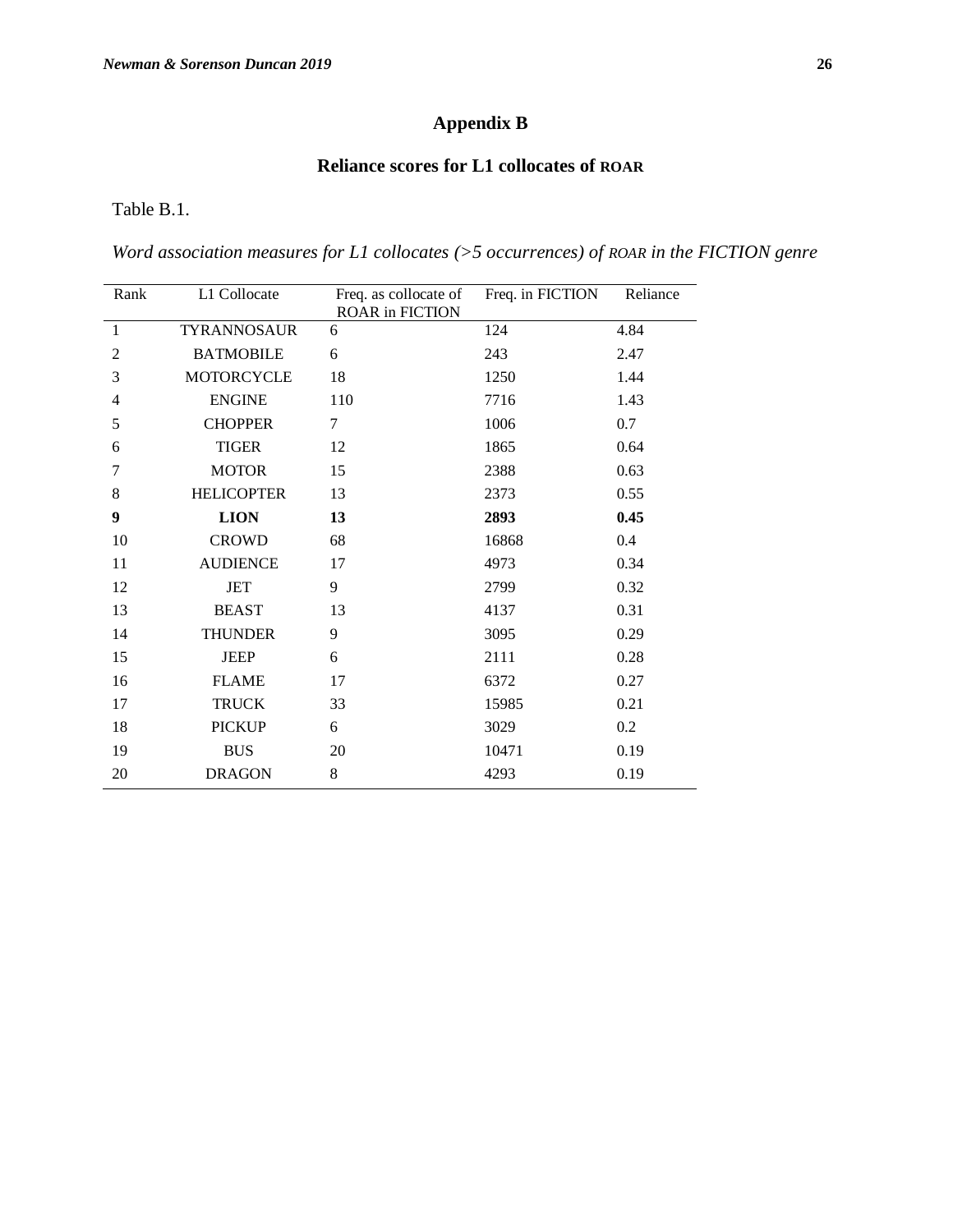# **Appendix B**

## **Reliance scores for L1 collocates of ROAR**

Table B.1.

*Word association measures for L1 collocates (>5 occurrences) of ROAR in the FICTION genre*

| Rank         | L1 Collocate      | Freq. as collocate of<br><b>ROAR in FICTION</b> | Freq. in FICTION | Reliance |
|--------------|-------------------|-------------------------------------------------|------------------|----------|
| $\mathbf{1}$ | TYRANNOSAUR       | 6                                               | 124              | 4.84     |
| 2            | <b>BATMOBILE</b>  | 6                                               | 243              | 2.47     |
| 3            | <b>MOTORCYCLE</b> | 18                                              | 1250             | 1.44     |
| 4            | <b>ENGINE</b>     | 110                                             | 7716             | 1.43     |
| 5            | <b>CHOPPER</b>    | 7                                               | 1006             | 0.7      |
| 6            | <b>TIGER</b>      | 12                                              | 1865             | 0.64     |
| 7            | <b>MOTOR</b>      | 15                                              | 2388             | 0.63     |
| 8            | <b>HELICOPTER</b> | 13                                              | 2373             | 0.55     |
| 9            | <b>LION</b>       | 13                                              | 2893             | 0.45     |
| 10           | <b>CROWD</b>      | 68                                              | 16868            | 0.4      |
| 11           | <b>AUDIENCE</b>   | 17                                              | 4973             | 0.34     |
| 12           | JET               | 9                                               | 2799             | 0.32     |
| 13           | <b>BEAST</b>      | 13                                              | 4137             | 0.31     |
| 14           | <b>THUNDER</b>    | 9                                               | 3095             | 0.29     |
| 15           | <b>JEEP</b>       | 6                                               | 2111             | 0.28     |
| 16           | <b>FLAME</b>      | 17                                              | 6372             | 0.27     |
| 17           | <b>TRUCK</b>      | 33                                              | 15985            | 0.21     |
| 18           | <b>PICKUP</b>     | 6                                               | 3029             | 0.2      |
| 19           | <b>BUS</b>        | 20                                              | 10471            | 0.19     |
| 20           | <b>DRAGON</b>     | 8                                               | 4293             | 0.19     |